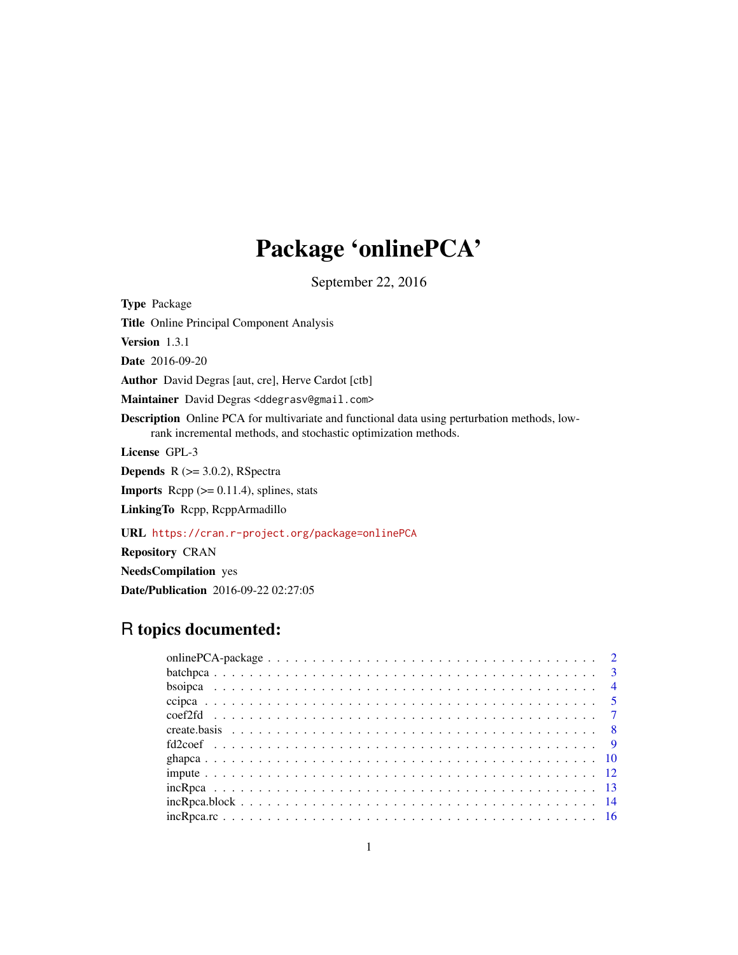# Package 'onlinePCA'

September 22, 2016

<span id="page-0-0"></span>Type Package Title Online Principal Component Analysis Version 1.3.1 Date 2016-09-20 Author David Degras [aut, cre], Herve Cardot [ctb] Maintainer David Degras <ddegrasv@gmail.com> Description Online PCA for multivariate and functional data using perturbation methods, lowrank incremental methods, and stochastic optimization methods. License GPL-3 **Depends**  $R$  ( $>= 3.0.2$ ), RSpectra **Imports** Rcpp  $(>= 0.11.4)$ , splines, stats LinkingTo Rcpp, RcppArmadillo URL <https://cran.r-project.org/package=onlinePCA>

Repository CRAN NeedsCompilation yes

# Date/Publication 2016-09-22 02:27:05

## R topics documented: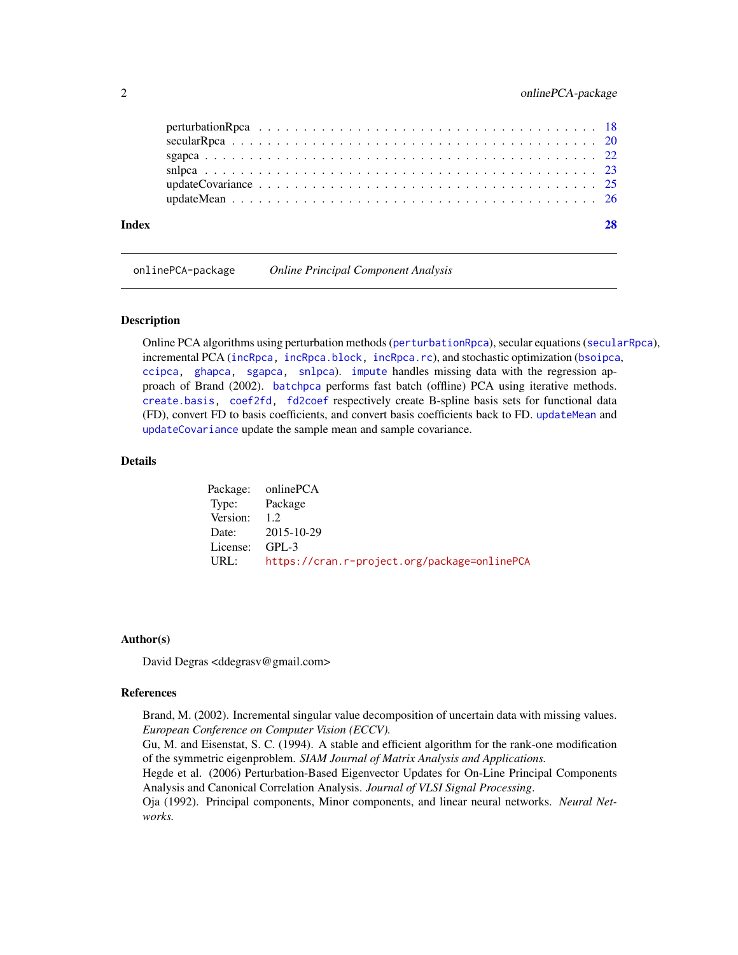<span id="page-1-0"></span>

| Index |  |
|-------|--|
|       |  |
|       |  |
|       |  |
|       |  |
|       |  |
|       |  |

onlinePCA-package *Online Principal Component Analysis*

#### **Description**

Online PCA algorithms using perturbation methods ([perturbationRpca](#page-17-1)), secular equations ([secularRpca](#page-19-1)), incremental PCA ([incRpca,](#page-12-1) [incRpca.block,](#page-13-1) [incRpca.rc](#page-15-1)), and stochastic optimization ([bsoipca](#page-3-1), [ccipca,](#page-4-1) [ghapca,](#page-9-1) [sgapca,](#page-21-1) [snlpca](#page-22-1)). [impute](#page-11-1) handles missing data with the regression approach of Brand (2002). [batchpca](#page-2-1) performs fast batch (offline) PCA using iterative methods. [create.basis,](#page-7-1) [coef2fd,](#page-6-1) [fd2coef](#page-8-1) respectively create B-spline basis sets for functional data (FD), convert FD to basis coefficients, and convert basis coefficients back to FD. [updateMean](#page-25-1) and [updateCovariance](#page-24-1) update the sample mean and sample covariance.

#### Details

Package: onlinePCA Type: Package Version: 1.2 Date: 2015-10-29 License: GPL-3 URL: <https://cran.r-project.org/package=onlinePCA>

#### Author(s)

David Degras <ddegrasv@gmail.com>

#### References

Brand, M. (2002). Incremental singular value decomposition of uncertain data with missing values. *European Conference on Computer Vision (ECCV).*

Gu, M. and Eisenstat, S. C. (1994). A stable and efficient algorithm for the rank-one modification of the symmetric eigenproblem. *SIAM Journal of Matrix Analysis and Applications.*

Hegde et al. (2006) Perturbation-Based Eigenvector Updates for On-Line Principal Components Analysis and Canonical Correlation Analysis. *Journal of VLSI Signal Processing*.

Oja (1992). Principal components, Minor components, and linear neural networks. *Neural Networks.*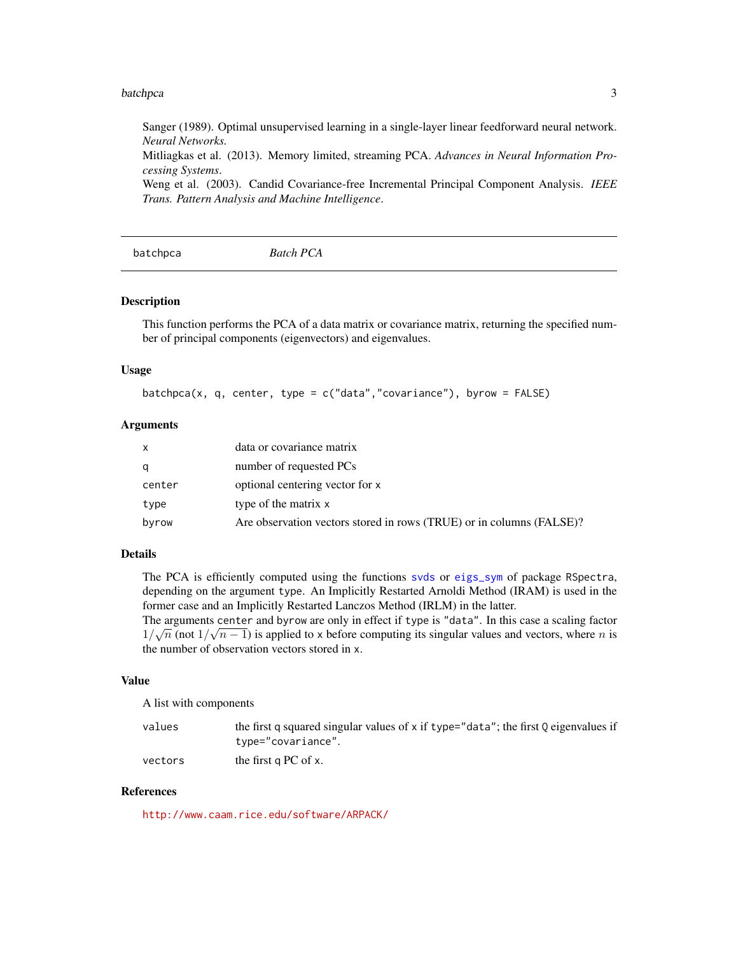#### <span id="page-2-0"></span>batchpca 3

Sanger (1989). Optimal unsupervised learning in a single-layer linear feedforward neural network. *Neural Networks.*

Mitliagkas et al. (2013). Memory limited, streaming PCA. *Advances in Neural Information Processing Systems*.

Weng et al. (2003). Candid Covariance-free Incremental Principal Component Analysis. *IEEE Trans. Pattern Analysis and Machine Intelligence*.

<span id="page-2-1"></span>batchpca *Batch PCA*

#### **Description**

This function performs the PCA of a data matrix or covariance matrix, returning the specified number of principal components (eigenvectors) and eigenvalues.

#### Usage

batchpca(x, q, center, type =  $c("data", "covariance"), byrow = FALSE)$ 

#### Arguments

| X      | data or covariance matrix                                            |
|--------|----------------------------------------------------------------------|
| q      | number of requested PCs                                              |
| center | optional centering vector for x                                      |
| type   | type of the matrix x                                                 |
| byrow  | Are observation vectors stored in rows (TRUE) or in columns (FALSE)? |

#### Details

The PCA is efficiently computed using the functions [svds](#page-0-0) or [eigs\\_sym](#page-0-0) of package RSpectra, depending on the argument type. An Implicitly Restarted Arnoldi Method (IRAM) is used in the former case and an Implicitly Restarted Lanczos Method (IRLM) in the latter.

The arguments center and byrow are only in effect if type is "data". In this case a scaling factor  $1/\sqrt{n}$  (not  $1/\sqrt{n-1}$ ) is applied to x before computing its singular values and vectors, where *n* is the number of observation vectors stored in x.

#### Value

A list with components

| values  | the first q squared singular values of x if type="data"; the first Q eigenvalues if |
|---------|-------------------------------------------------------------------------------------|
|         | type="covariance".                                                                  |
| vectors | the first $q PC$ of $x$ .                                                           |

#### References

<http://www.caam.rice.edu/software/ARPACK/>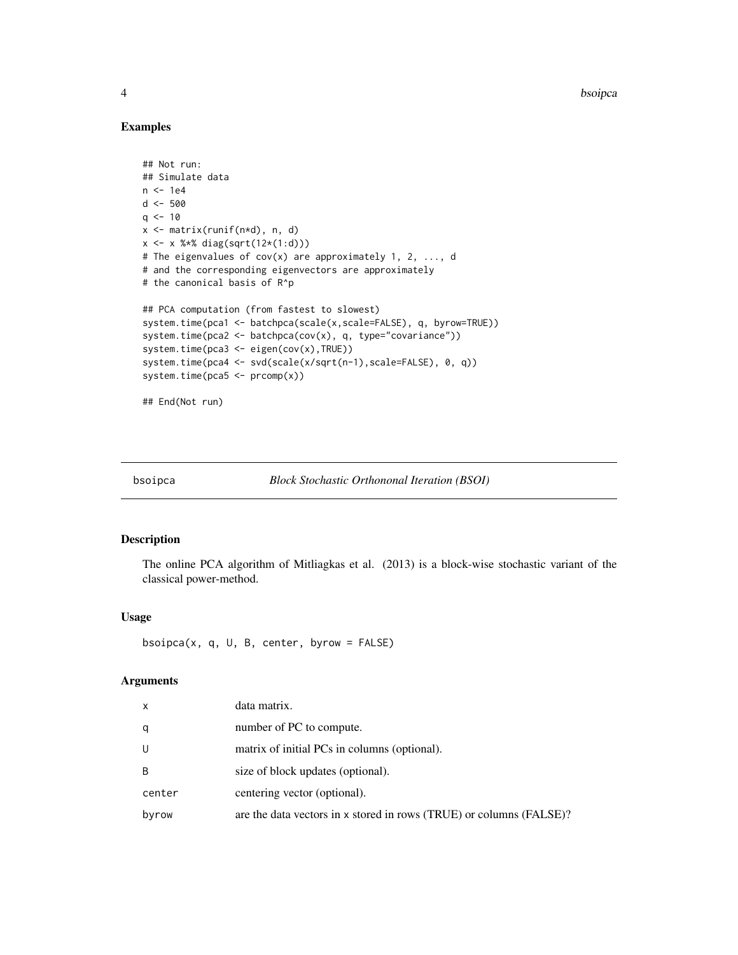#### Examples

```
## Not run:
## Simulate data
n <- 1e4
d <- 500
q \le -10x <- matrix(runif(n*d), n, d)
x <- x %*% diag(sqrt(12*(1:d)))
# The eigenvalues of cov(x) are approximately 1, 2, ..., d
# and the corresponding eigenvectors are approximately
# the canonical basis of R^p
## PCA computation (from fastest to slowest)
system.time(pca1 <- batchpca(scale(x,scale=FALSE), q, byrow=TRUE))
system.time(pca2 <- batchpca(cov(x), q, type="covariance"))
system.time(pca3 <- eigen(cov(x),TRUE))
system.time(pca4 <- svd(scale(x/sqrt(n-1),scale=FALSE), 0, q))
system.time(pca5 <- prcomp(x))
## End(Not run)
```
<span id="page-3-1"></span>bsoipca *Block Stochastic Orthononal Iteration (BSOI)*

#### Description

The online PCA algorithm of Mitliagkas et al. (2013) is a block-wise stochastic variant of the classical power-method.

#### Usage

bsoipca(x, q, U, B, center, byrow = FALSE)

#### Arguments

| X      | data matrix.                                                        |
|--------|---------------------------------------------------------------------|
| q      | number of PC to compute.                                            |
| U      | matrix of initial PCs in columns (optional).                        |
| B      | size of block updates (optional).                                   |
| center | centering vector (optional).                                        |
| byrow  | are the data vectors in x stored in rows (TRUE) or columns (FALSE)? |

<span id="page-3-0"></span>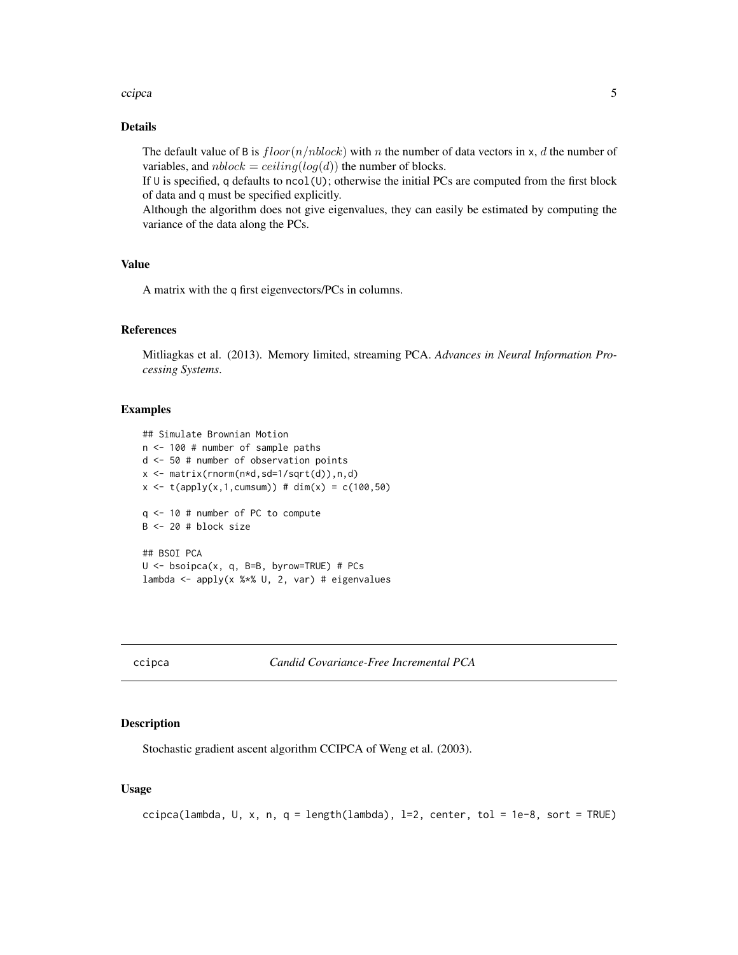#### <span id="page-4-0"></span>ccipca **5**

#### Details

The default value of B is  $floor(n/nblock)$  with n the number of data vectors in x, d the number of variables, and  $nblock = ceiling(log(d))$  the number of blocks.

If  $U$  is specified, q defaults to ncol( $U$ ); otherwise the initial PCs are computed from the first block of data and q must be specified explicitly.

Although the algorithm does not give eigenvalues, they can easily be estimated by computing the variance of the data along the PCs.

#### Value

A matrix with the q first eigenvectors/PCs in columns.

#### References

Mitliagkas et al. (2013). Memory limited, streaming PCA. *Advances in Neural Information Processing Systems*.

#### Examples

```
## Simulate Brownian Motion
n <- 100 # number of sample paths
d <- 50 # number of observation points
x \leq matrix(rnorm(n*d,sd=1/sqrt(d)),n,d)
x \le - t(\text{apply}(x, 1, \text{cumsum})) # \text{dim}(x) = c(100, 50)q <- 10 # number of PC to compute
B \le -20 # block size
## BSOI PCA
U <- bsoipca(x, q, B=B, byrow=TRUE) # PCs
lambda <- apply(x %*% U, 2, var) # eigenvalues
```
<span id="page-4-1"></span>ccipca *Candid Covariance-Free Incremental PCA*

#### Description

Stochastic gradient ascent algorithm CCIPCA of Weng et al. (2003).

#### Usage

```
ccipca(lambda, U, x, n, q = length(lambda), l=2, center, tol = 1e-8, sort = TRUE)
```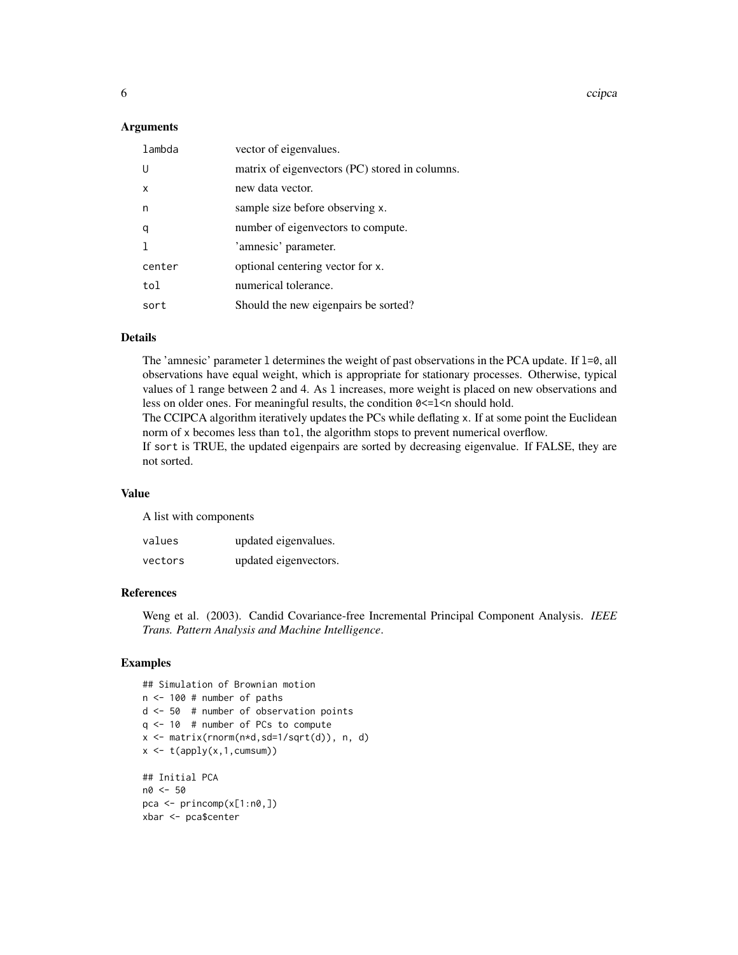6 compared to the contract of the compared of the compared of the compared of the compared of the compared of the compared of the compared of the compared of the compared of the compared of the compared of the compared of

#### Arguments

| matrix of eigenvectors (PC) stored in columns.<br>U<br>new data vector.<br>x<br>sample size before observing x.<br>n<br>number of eigenvectors to compute.<br>q<br>'amnesic' parameter.<br>optional centering vector for x.<br>center<br>numerical tolerance.<br>tol<br>Should the new eigenpairs be sorted?<br>sort | lambda | vector of eigenvalues. |
|----------------------------------------------------------------------------------------------------------------------------------------------------------------------------------------------------------------------------------------------------------------------------------------------------------------------|--------|------------------------|
|                                                                                                                                                                                                                                                                                                                      |        |                        |
|                                                                                                                                                                                                                                                                                                                      |        |                        |
|                                                                                                                                                                                                                                                                                                                      |        |                        |
|                                                                                                                                                                                                                                                                                                                      |        |                        |
|                                                                                                                                                                                                                                                                                                                      |        |                        |
|                                                                                                                                                                                                                                                                                                                      |        |                        |
|                                                                                                                                                                                                                                                                                                                      |        |                        |
|                                                                                                                                                                                                                                                                                                                      |        |                        |

#### Details

The 'amnesic' parameter 1 determines the weight of past observations in the PCA update. If 1=0, all observations have equal weight, which is appropriate for stationary processes. Otherwise, typical values of l range between 2 and 4. As l increases, more weight is placed on new observations and less on older ones. For meaningful results, the condition 0 <= 1 < n should hold.

The CCIPCA algorithm iteratively updates the PCs while deflating x. If at some point the Euclidean norm of x becomes less than tol, the algorithm stops to prevent numerical overflow.

If sort is TRUE, the updated eigenpairs are sorted by decreasing eigenvalue. If FALSE, they are not sorted.

#### Value

A list with components

| values  | updated eigenvalues.  |
|---------|-----------------------|
| vectors | updated eigenvectors. |

#### References

Weng et al. (2003). Candid Covariance-free Incremental Principal Component Analysis. *IEEE Trans. Pattern Analysis and Machine Intelligence*.

#### Examples

## Simulation of Brownian motion n <- 100 # number of paths d <- 50 # number of observation points q <- 10 # number of PCs to compute x <- matrix(rnorm(n\*d,sd=1/sqrt(d)), n, d)  $x \leftarrow t(\text{apply}(x, 1, \text{cumsum}))$ ## Initial PCA n0 <- 50 pca <- princomp(x[1:n0,]) xbar <- pca\$center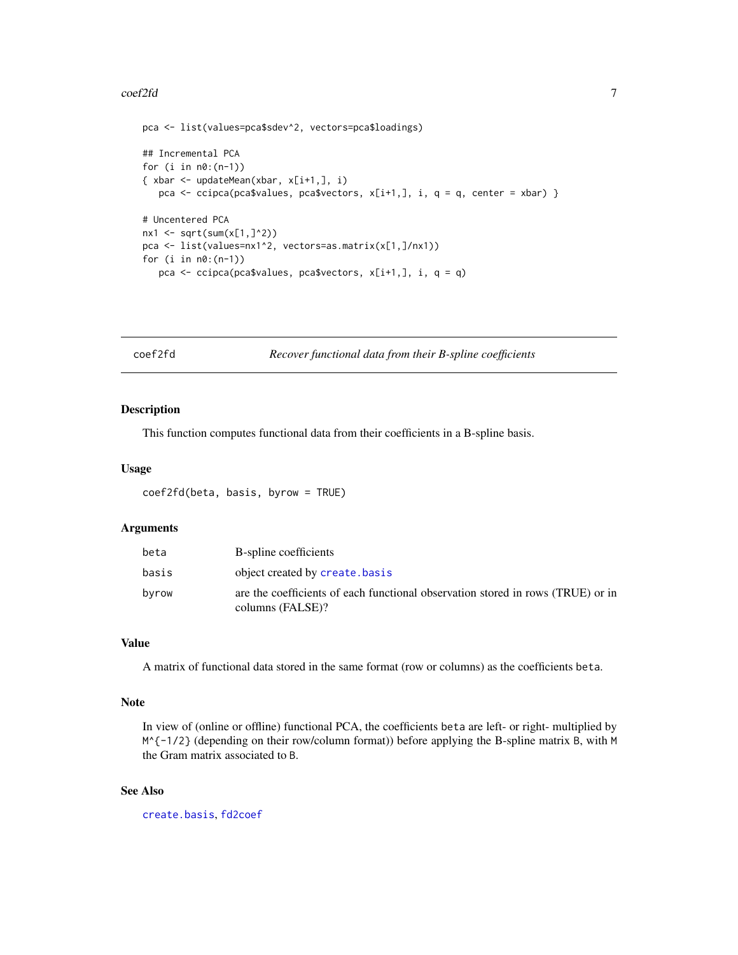#### <span id="page-6-0"></span> $\text{coeff}(2f\mathbf{d})$  7

```
pca <- list(values=pca$sdev^2, vectors=pca$loadings)
## Incremental PCA
for (i \text{ in } n0:(n-1)){ xbar <- updateMean(xbar, x[i+1,], i)
   pca <- ccipca(pca$values, pca$vectors, x[i+1,], i, q = q, center = xbar) }
# Uncentered PCA
nx1 < -sqrt(sum(x[1, ]^2))pca <- list(values=nx1^2, vectors=as.matrix(x[1,]/nx1))
for (i in n0:(n-1))
   pca <- ccipca(pca$values, pca$vectors, x[i+1,], i, q = q)
```
<span id="page-6-1"></span>coef2fd *Recover functional data from their B-spline coefficients*

#### Description

This function computes functional data from their coefficients in a B-spline basis.

#### Usage

```
coef2fd(beta, basis, byrow = TRUE)
```
#### **Arguments**

| beta  | B-spline coefficients                                                                               |
|-------|-----------------------------------------------------------------------------------------------------|
| basis | object created by create.basis                                                                      |
| byrow | are the coefficients of each functional observation stored in rows (TRUE) or in<br>columns (FALSE)? |

#### Value

A matrix of functional data stored in the same format (row or columns) as the coefficients beta.

#### Note

In view of (online or offline) functional PCA, the coefficients beta are left- or right- multiplied by M^{-1/2} (depending on their row/column format)) before applying the B-spline matrix B, with M the Gram matrix associated to B.

#### See Also

[create.basis](#page-7-1), [fd2coef](#page-8-1)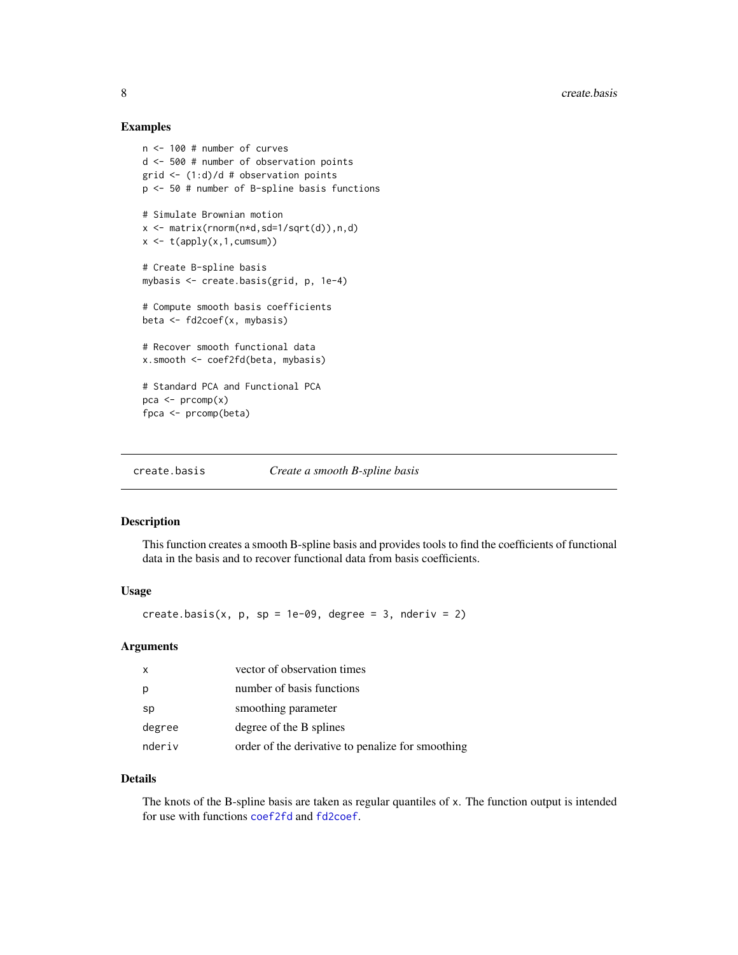#### Examples

```
n <- 100 # number of curves
d <- 500 # number of observation points
grid \leftarrow (1:d)/d # observation points
p <- 50 # number of B-spline basis functions
# Simulate Brownian motion
x <- matrix(rnorm(n*d,sd=1/sqrt(d)),n,d)
x \leftarrow t(\text{apply}(x, 1, \text{cumsum}))# Create B-spline basis
mybasis <- create.basis(grid, p, 1e-4)
# Compute smooth basis coefficients
beta <- fd2coef(x, mybasis)
# Recover smooth functional data
x.smooth <- coef2fd(beta, mybasis)
# Standard PCA and Functional PCA
pca \leq prcomp(x)fpca <- prcomp(beta)
```
<span id="page-7-1"></span>create.basis *Create a smooth B-spline basis*

#### Description

This function creates a smooth B-spline basis and provides tools to find the coefficients of functional data in the basis and to recover functional data from basis coefficients.

#### Usage

create.basis(x,  $p$ ,  $sp = 1e-09$ , degree = 3, nderiv = 2)

#### Arguments

| X      | vector of observation times                       |
|--------|---------------------------------------------------|
| p      | number of basis functions                         |
| sp     | smoothing parameter                               |
| degree | degree of the B splines                           |
| nderiv | order of the derivative to penalize for smoothing |

#### Details

The knots of the B-spline basis are taken as regular quantiles of x. The function output is intended for use with functions [coef2fd](#page-6-1) and [fd2coef](#page-8-1).

<span id="page-7-0"></span>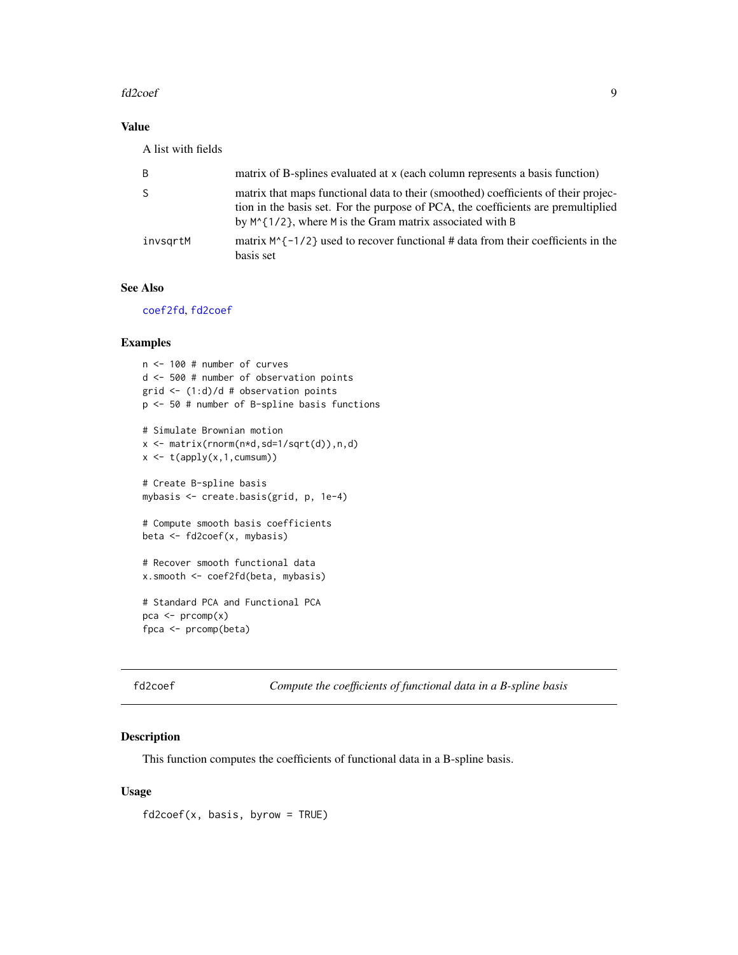#### <span id="page-8-0"></span>fd2coef 9

#### Value

A list with fields

| B            | matrix of B-splines evaluated at x (each column represents a basis function)                                                                                                                                                             |
|--------------|------------------------------------------------------------------------------------------------------------------------------------------------------------------------------------------------------------------------------------------|
| <sub>S</sub> | matrix that maps functional data to their (smoothed) coefficients of their projec-<br>tion in the basis set. For the purpose of PCA, the coefficients are premultiplied<br>by $M^{(1/2)}$ , where M is the Gram matrix associated with B |
| invsgrtM     | matrix $M^{-1/2}$ used to recover functional # data from their coefficients in the<br>basis set                                                                                                                                          |

#### See Also

[coef2fd](#page-6-1), [fd2coef](#page-8-1)

#### Examples

n <- 100 # number of curves d <- 500 # number of observation points grid <- (1:d)/d # observation points p <- 50 # number of B-spline basis functions # Simulate Brownian motion x <- matrix(rnorm(n\*d,sd=1/sqrt(d)),n,d)  $x \leftarrow t(\text{apply}(x,1, \text{cumsum}))$ # Create B-spline basis mybasis <- create.basis(grid, p, 1e-4) # Compute smooth basis coefficients beta <- fd2coef(x, mybasis) # Recover smooth functional data x.smooth <- coef2fd(beta, mybasis) # Standard PCA and Functional PCA pca <- prcomp(x)

fpca <- prcomp(beta)

<span id="page-8-1"></span>fd2coef *Compute the coefficients of functional data in a B-spline basis*

#### Description

This function computes the coefficients of functional data in a B-spline basis.

#### Usage

fd2coef(x, basis, byrow = TRUE)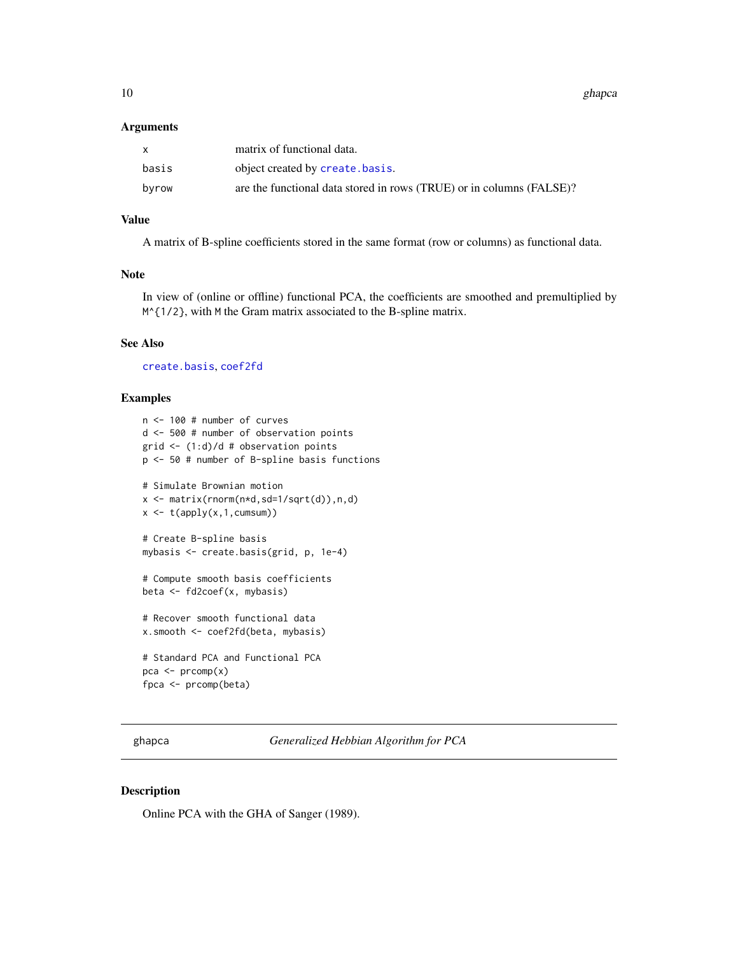<span id="page-9-0"></span>10 ghapca and the state of the state of the state of the state of the state of the state of the state of the state of the state of the state of the state of the state of the state of the state of the state of the state of

#### **Arguments**

|       | matrix of functional data.                                           |
|-------|----------------------------------------------------------------------|
| basis | object created by create.basis.                                      |
| byrow | are the functional data stored in rows (TRUE) or in columns (FALSE)? |

#### Value

A matrix of B-spline coefficients stored in the same format (row or columns) as functional data.

#### Note

In view of (online or offline) functional PCA, the coefficients are smoothed and premultiplied by M^{1/2}, with M the Gram matrix associated to the B-spline matrix.

#### See Also

[create.basis](#page-7-1), [coef2fd](#page-6-1)

#### Examples

```
n <- 100 # number of curves
d <- 500 # number of observation points
grid \leq (1:d)/d # observation points
p <- 50 # number of B-spline basis functions
# Simulate Brownian motion
x \leq matrix(rnorm(n*d,sd=1/sqrt(d)),n,d)
x \leftarrow t(\text{apply}(x, 1, \text{cumsum}))# Create B-spline basis
mybasis <- create.basis(grid, p, 1e-4)
# Compute smooth basis coefficients
beta <- fd2coef(x, mybasis)
# Recover smooth functional data
x.smooth <- coef2fd(beta, mybasis)
# Standard PCA and Functional PCA
pca \leftarrow prcomp(x)fpca <- prcomp(beta)
```
<span id="page-9-1"></span>ghapca *Generalized Hebbian Algorithm for PCA*

#### Description

Online PCA with the GHA of Sanger (1989).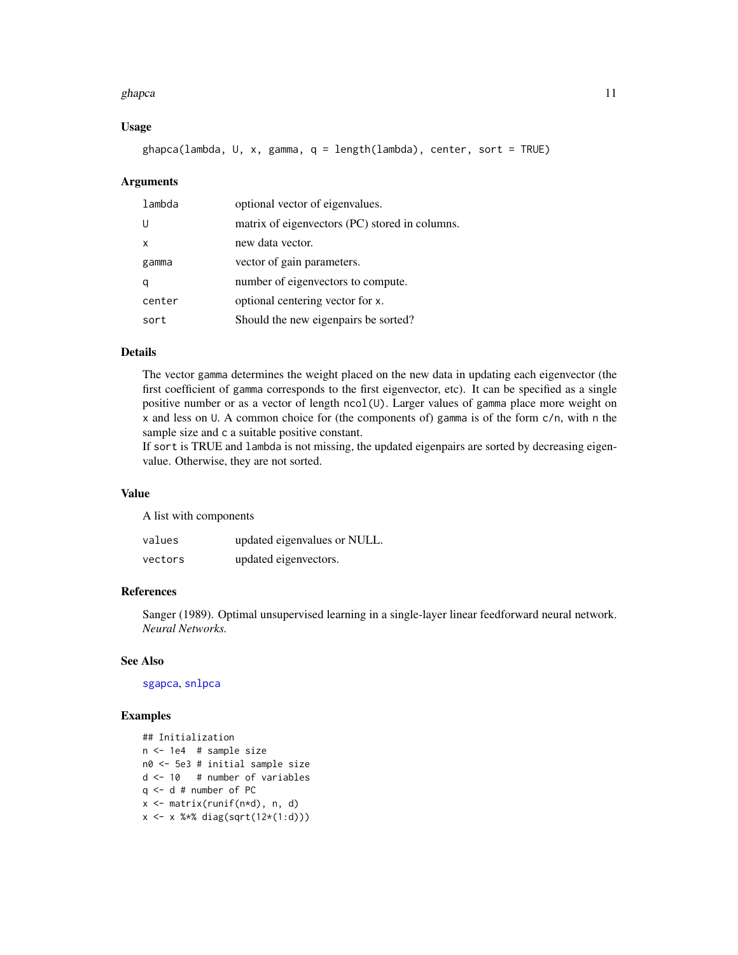#### <span id="page-10-0"></span>ghapca and the state of the state of the state of the state of the state of the state of the state of the state of the state of the state of the state of the state of the state of the state of the state of the state of the

#### Usage

ghapca(lambda, U, x, gamma, q = length(lambda), center, sort = TRUE)

#### Arguments

| lambda       | optional vector of eigenvalues.                |
|--------------|------------------------------------------------|
| U            | matrix of eigenvectors (PC) stored in columns. |
| $\mathsf{x}$ | new data vector.                               |
| gamma        | vector of gain parameters.                     |
| q            | number of eigenvectors to compute.             |
| center       | optional centering vector for x.               |
| sort         | Should the new eigenpairs be sorted?           |

#### Details

The vector gamma determines the weight placed on the new data in updating each eigenvector (the first coefficient of gamma corresponds to the first eigenvector, etc). It can be specified as a single positive number or as a vector of length ncol(U). Larger values of gamma place more weight on x and less on U. A common choice for (the components of) gamma is of the form c/n, with n the sample size and c a suitable positive constant.

If sort is TRUE and lambda is not missing, the updated eigenpairs are sorted by decreasing eigenvalue. Otherwise, they are not sorted.

#### Value

A list with components

| values  | updated eigenvalues or NULL. |
|---------|------------------------------|
| vectors | updated eigenvectors.        |

#### References

Sanger (1989). Optimal unsupervised learning in a single-layer linear feedforward neural network. *Neural Networks.*

#### See Also

[sgapca](#page-21-1), [snlpca](#page-22-1)

#### Examples

```
## Initialization
n <- 1e4 # sample size
n0 <- 5e3 # initial sample size
d <- 10 # number of variables
q <- d # number of PC
x <- matrix(runif(n*d), n, d)
x <- x %*% diag(sqrt(12*(1:d)))
```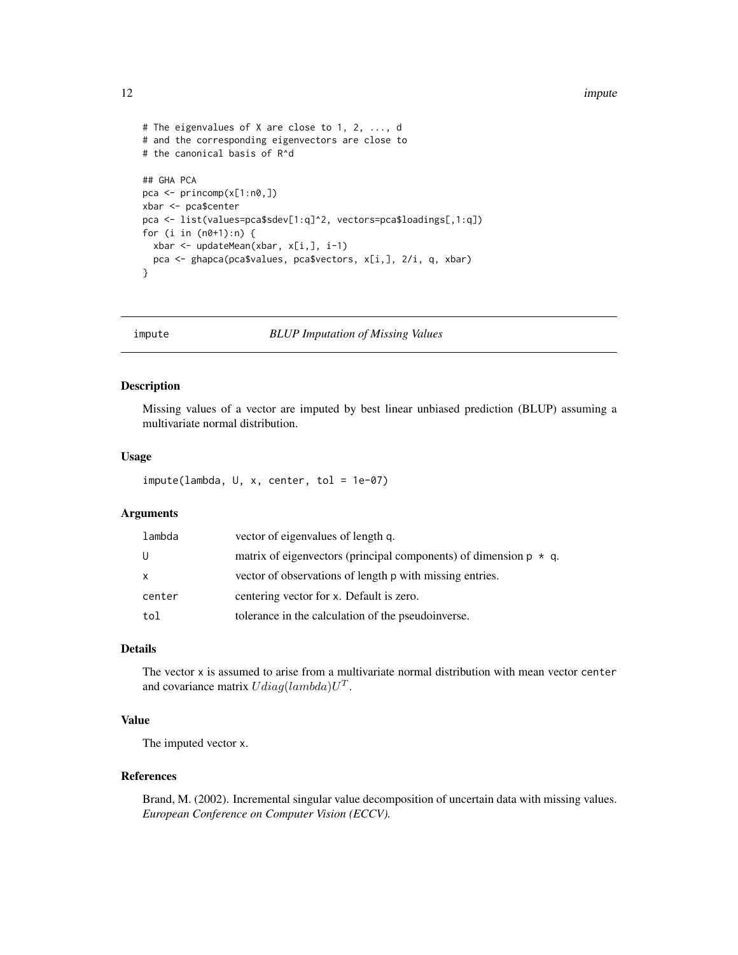#### <span id="page-11-0"></span>12 impute the contract of the contract of the contract of the contract of the contract of the contract of the contract of the contract of the contract of the contract of the contract of the contract of the contract of the

```
# The eigenvalues of X are close to 1, 2, ..., d
# and the corresponding eigenvectors are close to
# the canonical basis of R^d
## GHA PCA
pca <- princomp(x[1:n0,])
xbar <- pca$center
pca <- list(values=pca$sdev[1:q]^2, vectors=pca$loadings[,1:q])
for (i in (n0+1):n) {
  xbar <- updateMean(xbar, x[i,], i-1)
  pca <- ghapca(pca$values, pca$vectors, x[i,], 2/i, q, xbar)
}
```
<span id="page-11-1"></span>

impute *BLUP Imputation of Missing Values*

#### Description

Missing values of a vector are imputed by best linear unbiased prediction (BLUP) assuming a multivariate normal distribution.

#### Usage

```
impute(lambda, U, x, center, tol = 1e-07)
```
#### Arguments

| lambda | vector of eigenvalues of length q.                                       |
|--------|--------------------------------------------------------------------------|
| U      | matrix of eigenvectors (principal components) of dimension $p \star q$ . |
| X      | vector of observations of length p with missing entries.                 |
| center | centering vector for x. Default is zero.                                 |
| tol    | tolerance in the calculation of the pseudoinverse.                       |

#### Details

The vector x is assumed to arise from a multivariate normal distribution with mean vector center and covariance matrix  $Udiag(lambda)U<sup>T</sup>$ .

#### Value

The imputed vector x.

#### References

Brand, M. (2002). Incremental singular value decomposition of uncertain data with missing values. *European Conference on Computer Vision (ECCV).*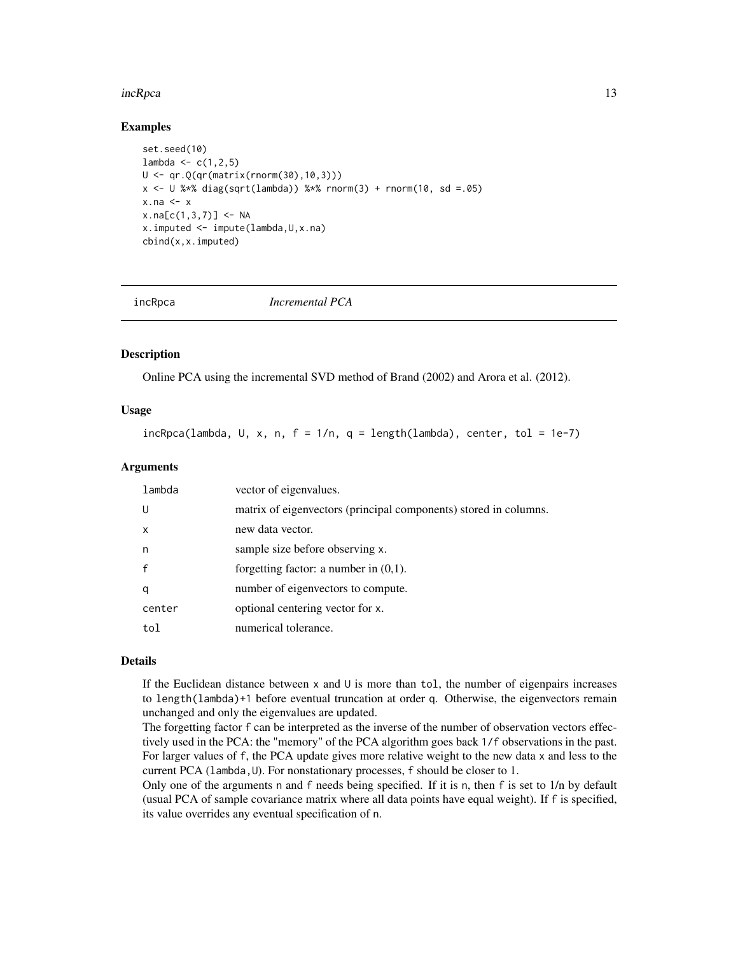#### <span id="page-12-0"></span>incRpca 23 and 23 and 23 and 23 and 23 and 23 and 23 and 23 and 23 and 23 and 23 and 23 and 23 and 23 and 24 and 25 and 26 and 26 and 26 and 26 and 26 and 26 and 26 and 26 and 26 and 26 and 26 and 26 and 26 and 26 and 26 a

#### Examples

```
set.seed(10)
lambda < -c(1, 2, 5)U <- qr.Q(qr(matrix(rnorm(30),10,3)))
x \le -0 %*% diag(sqrt(lambda)) %*% rnorm(3) + rnorm(10, sd =.05)
x.na \leftarrow xx.na[c(1,3,7)] < -NAx.imputed <- impute(lambda,U,x.na)
cbind(x,x.imputed)
```
<span id="page-12-1"></span>

incRpca *Incremental PCA*

#### Description

Online PCA using the incremental SVD method of Brand (2002) and Arora et al. (2012).

#### Usage

 $incRpca(lambda, U, x, n, f = 1/n, q = length(lambda), center, tol = 1e-7)$ 

#### Arguments

| lambda       | vector of eigenvalues.                                           |
|--------------|------------------------------------------------------------------|
| U            | matrix of eigenvectors (principal components) stored in columns. |
| $\mathsf{x}$ | new data vector.                                                 |
| n            | sample size before observing x.                                  |
| $\mathbf{f}$ | forgetting factor: a number in $(0,1)$ .                         |
| q            | number of eigenvectors to compute.                               |
| center       | optional centering vector for x.                                 |
| tol          | numerical tolerance.                                             |

#### Details

If the Euclidean distance between  $x$  and  $U$  is more than tol, the number of eigenpairs increases to length(lambda)+1 before eventual truncation at order q. Otherwise, the eigenvectors remain unchanged and only the eigenvalues are updated.

The forgetting factor f can be interpreted as the inverse of the number of observation vectors effectively used in the PCA: the "memory" of the PCA algorithm goes back 1/f observations in the past. For larger values of f, the PCA update gives more relative weight to the new data x and less to the current PCA (lambda, U). For nonstationary processes, f should be closer to 1.

Only one of the arguments n and f needs being specified. If it is n, then f is set to 1/n by default (usual PCA of sample covariance matrix where all data points have equal weight). If f is specified, its value overrides any eventual specification of n.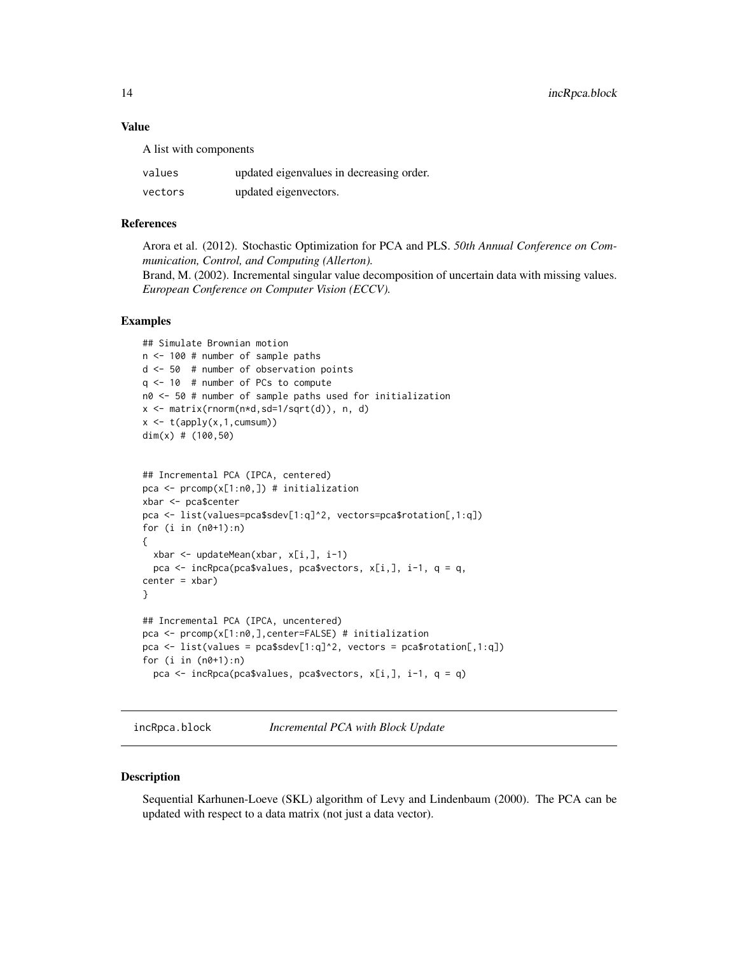#### <span id="page-13-0"></span>Value

A list with components

| values  | updated eigenvalues in decreasing order. |
|---------|------------------------------------------|
| vectors | updated eigenvectors.                    |

#### References

Arora et al. (2012). Stochastic Optimization for PCA and PLS. *50th Annual Conference on Communication, Control, and Computing (Allerton).* Brand, M. (2002). Incremental singular value decomposition of uncertain data with missing values. *European Conference on Computer Vision (ECCV).*

#### Examples

```
## Simulate Brownian motion
n <- 100 # number of sample paths
d <- 50 # number of observation points
q <- 10 # number of PCs to compute
n0 <- 50 # number of sample paths used for initialization
x <- matrix(rnorm(n*d,sd=1/sqrt(d)), n, d)
x \leftarrow t(\text{apply}(x, 1, \text{cumsum}))dim(x) # (100,50)
```

```
## Incremental PCA (IPCA, centered)
pca <- prcomp(x[1:n0,]) # initialization
xbar <- pca$center
pca <- list(values=pca$sdev[1:q]^2, vectors=pca$rotation[,1:q])
for (i in (n0+1):n){
  xbar <- updateMean(xbar, x[i,], i-1)
  pca <- incRpca(pca$values, pca$vectors, x[i,], i-1, q = q,
center = xbar)}
## Incremental PCA (IPCA, uncentered)
pca <- prcomp(x[1:n0,],center=FALSE) # initialization
pca \le list(values = pca$sdev[1:q]^2, vectors = pca$rotation[,1:q])
for (i in (n0+1):n)pca <- incRpca(pca$values, pca$vectors, x[i,], i-1, q = q)
```
<span id="page-13-1"></span>incRpca.block *Incremental PCA with Block Update*

#### Description

Sequential Karhunen-Loeve (SKL) algorithm of Levy and Lindenbaum (2000). The PCA can be updated with respect to a data matrix (not just a data vector).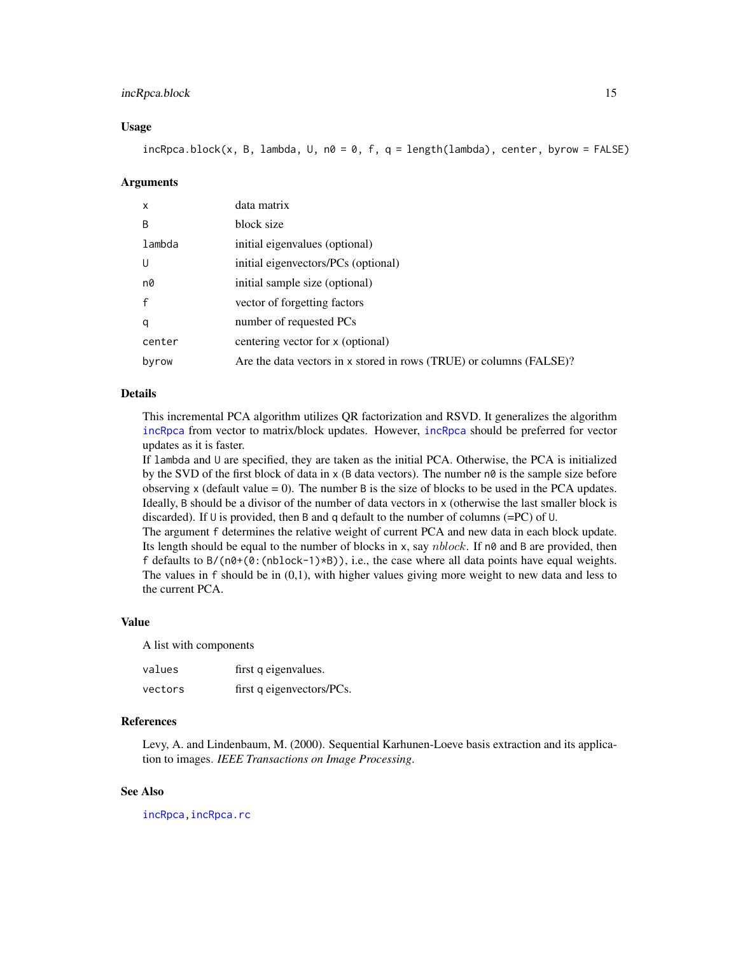#### <span id="page-14-0"></span>incRpca.block 15

#### Usage

 $incRpca.block(x, B, lambda, U, n0 = 0, f, q = length(lambda), center, byrow = FALSE)$ 

#### Arguments

| $\mathsf{x}$ | data matrix                                                         |
|--------------|---------------------------------------------------------------------|
| B            | block size                                                          |
| lambda       | initial eigenvalues (optional)                                      |
| U            | initial eigenvectors/PCs (optional)                                 |
| n0           | initial sample size (optional)                                      |
| $\mathsf{f}$ | vector of forgetting factors                                        |
| q            | number of requested PCs                                             |
| center       | centering vector for x (optional)                                   |
| byrow        | Are the data vectors in x stored in rows (TRUE) or columns (FALSE)? |

#### Details

This incremental PCA algorithm utilizes QR factorization and RSVD. It generalizes the algorithm [incRpca](#page-12-1) from vector to matrix/block updates. However, [incRpca](#page-12-1) should be preferred for vector updates as it is faster.

If lambda and U are specified, they are taken as the initial PCA. Otherwise, the PCA is initialized by the SVD of the first block of data in x (B data vectors). The number n0 is the sample size before observing  $x$  (default value = 0). The number B is the size of blocks to be used in the PCA updates. Ideally, B should be a divisor of the number of data vectors in x (otherwise the last smaller block is discarded). If U is provided, then B and q default to the number of columns (=PC) of U.

The argument f determines the relative weight of current PCA and new data in each block update. Its length should be equal to the number of blocks in x, say *nblock*. If n0 and B are provided, then f defaults to  $B/(\eta\theta+(\theta:(\text{nblock-1})\times B))$ , i.e., the case where all data points have equal weights. The values in f should be in (0,1), with higher values giving more weight to new data and less to the current PCA.

#### Value

A list with components

| values  | first q eigenvalues.      |
|---------|---------------------------|
| vectors | first q eigenvectors/PCs. |

#### References

Levy, A. and Lindenbaum, M. (2000). Sequential Karhunen-Loeve basis extraction and its application to images. *IEEE Transactions on Image Processing*.

#### See Also

[incRpca](#page-12-1)[,incRpca.rc](#page-15-1)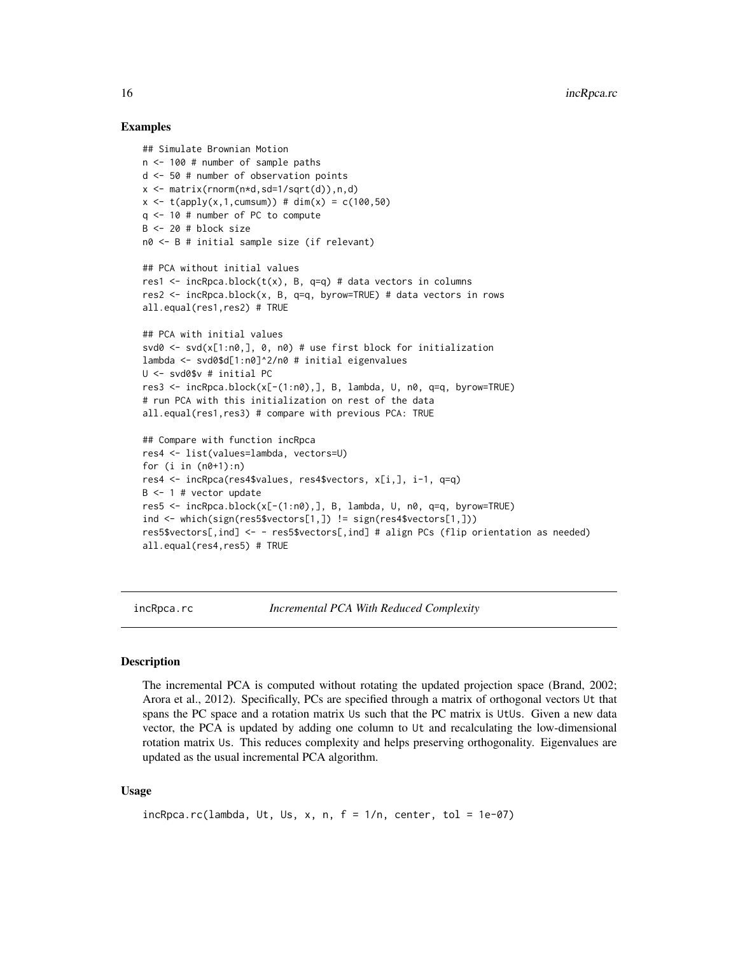#### Examples

```
## Simulate Brownian Motion
n <- 100 # number of sample paths
d <- 50 # number of observation points
x <- matrix(rnorm(n*d,sd=1/sqrt(d)),n,d)
x \le - t(apply(x,1,cumsum)) # dim(x) = c(100,50)
q <- 10 # number of PC to compute
B <- 20 # block size
n0 <- B # initial sample size (if relevant)
## PCA without initial values
res1 \le incRpca.block(t(x), B, q=q) # data vectors in columns
res2 <- incRpca.block(x, B, q=q, byrow=TRUE) # data vectors in rows
all.equal(res1,res2) # TRUE
## PCA with initial values
svd0 <- svd(x[1:n0,], 0, n0) # use first block for initialization
lambda <- svd0$d[1:n0]^2/n0 # initial eigenvalues
U <- svd0$v # initial PC
res3 <- incRpca.block(x[-(1:n0),], B, lambda, U, n0, q=q, byrow=TRUE)
# run PCA with this initialization on rest of the data
all.equal(res1,res3) # compare with previous PCA: TRUE
## Compare with function incRpca
res4 <- list(values=lambda, vectors=U)
for (i in (n0+1):n)res4 <- incRpca(res4$values, res4$vectors, x[i,], i-1, q=q)
B <- 1 # vector update
res5 \le incRpca.block(x[-(1:n0),], B, lambda, U, n0, q=q, byrow=TRUE)
ind <- which(sign(res5$vectors[1,]) != sign(res4$vectors[1,]))
res5$vectors[,ind] <- - res5$vectors[,ind] # align PCs (flip orientation as needed)
all.equal(res4,res5) # TRUE
```
<span id="page-15-1"></span>incRpca.rc *Incremental PCA With Reduced Complexity*

#### **Description**

The incremental PCA is computed without rotating the updated projection space (Brand, 2002; Arora et al., 2012). Specifically, PCs are specified through a matrix of orthogonal vectors Ut that spans the PC space and a rotation matrix Us such that the PC matrix is UtUs. Given a new data vector, the PCA is updated by adding one column to Ut and recalculating the low-dimensional rotation matrix Us. This reduces complexity and helps preserving orthogonality. Eigenvalues are updated as the usual incremental PCA algorithm.

#### Usage

```
incRpca.rc(lambda, Ut, Us, x, n, f = 1/n, center, tol = 1e-07)
```
<span id="page-15-0"></span>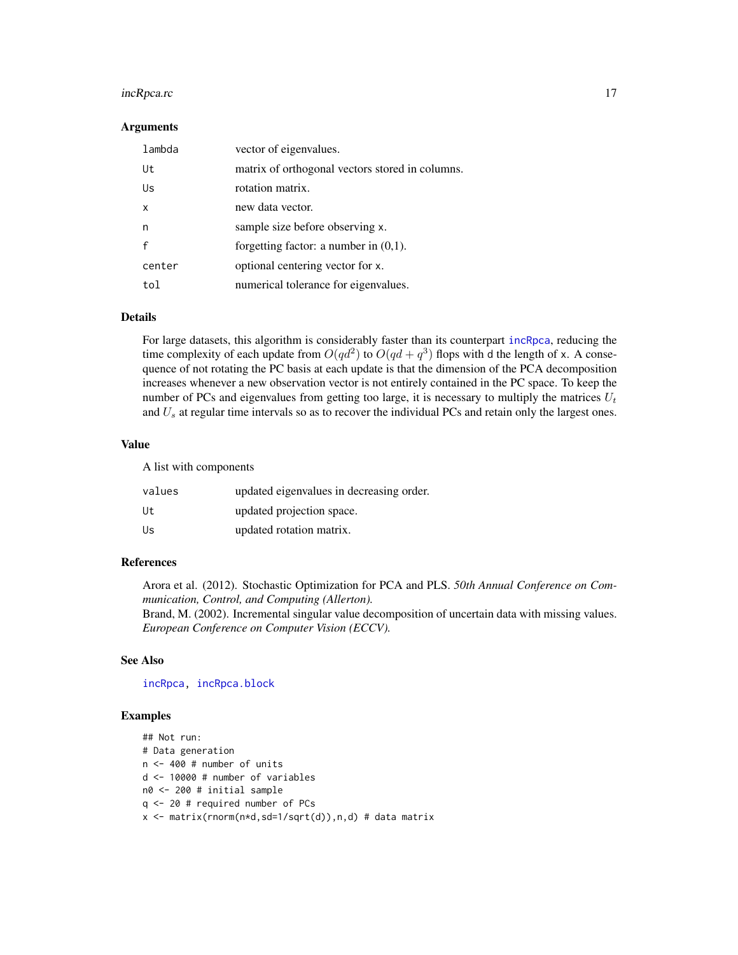#### <span id="page-16-0"></span>incRpca.rc 17

#### Arguments

| lambda | vector of eigenvalues.                          |
|--------|-------------------------------------------------|
| Ut     | matrix of orthogonal vectors stored in columns. |
| Us     | rotation matrix.                                |
| x      | new data vector.                                |
| n      | sample size before observing x.                 |
|        | forgetting factor: a number in $(0,1)$ .        |
| center | optional centering vector for x.                |
| tol    | numerical tolerance for eigenvalues.            |

#### Details

For large datasets, this algorithm is considerably faster than its counterpart [incRpca](#page-12-1), reducing the time complexity of each update from  $O(qd^2)$  to  $O(qd+q^3)$  flops with d the length of x. A consequence of not rotating the PC basis at each update is that the dimension of the PCA decomposition increases whenever a new observation vector is not entirely contained in the PC space. To keep the number of PCs and eigenvalues from getting too large, it is necessary to multiply the matrices  $U_t$ and  $U_s$  at regular time intervals so as to recover the individual PCs and retain only the largest ones.

#### Value

A list with components

| values | updated eigenvalues in decreasing order. |
|--------|------------------------------------------|
| Ut     | updated projection space.                |
| Us     | updated rotation matrix.                 |

#### References

Arora et al. (2012). Stochastic Optimization for PCA and PLS. *50th Annual Conference on Communication, Control, and Computing (Allerton).* Brand, M. (2002). Incremental singular value decomposition of uncertain data with missing values. *European Conference on Computer Vision (ECCV).*

#### See Also

[incRpca,](#page-12-1) [incRpca.block](#page-13-1)

#### Examples

```
## Not run:
# Data generation
n <- 400 # number of units
d <- 10000 # number of variables
n0 <- 200 # initial sample
q <- 20 # required number of PCs
x <- matrix(rnorm(n*d,sd=1/sqrt(d)),n,d) # data matrix
```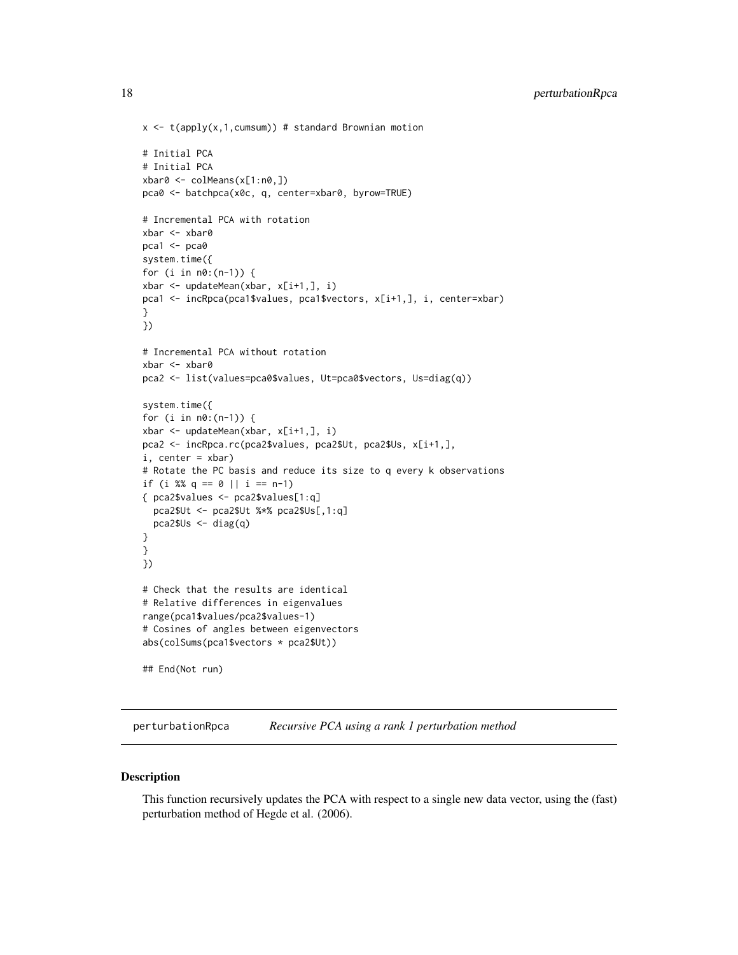```
x \leq t(apply(x,1,cumsum)) # standard Brownian motion
# Initial PCA
# Initial PCA
xbar0 <- colMeans(x[1:n0,])
pca0 <- batchpca(x0c, q, center=xbar0, byrow=TRUE)
# Incremental PCA with rotation
xbar <- xbar0
pca1 < -pca0system.time({
for (i in n0:(n-1)) {
xbar <- updateMean(xbar, x[i+1,], i)
pca1 <- incRpca(pca1$values, pca1$vectors, x[i+1,], i, center=xbar)
}
})
# Incremental PCA without rotation
xbar <- xbar0
pca2 <- list(values=pca0$values, Ut=pca0$vectors, Us=diag(q))
system.time({
for (i in n0:(n-1)) {
xbar <- updateMean(xbar, x[i+1,], i)
pca2 <- incRpca.rc(pca2$values, pca2$Ut, pca2$Us, x[i+1,],
i, center = xbar)
# Rotate the PC basis and reduce its size to q every k observations
if (i %% q == 0 || i == n-1)
{ pca2$values <- pca2$values[1:q]
 pca2$Ut <- pca2$Ut %*% pca2$Us[,1:q]
  pca2$Us <- diag(q)
}
}
})
# Check that the results are identical
# Relative differences in eigenvalues
range(pca1$values/pca2$values-1)
# Cosines of angles between eigenvectors
abs(colSums(pca1$vectors * pca2$Ut))
## End(Not run)
```
<span id="page-17-1"></span>perturbationRpca *Recursive PCA using a rank 1 perturbation method*

#### Description

This function recursively updates the PCA with respect to a single new data vector, using the (fast) perturbation method of Hegde et al. (2006).

<span id="page-17-0"></span>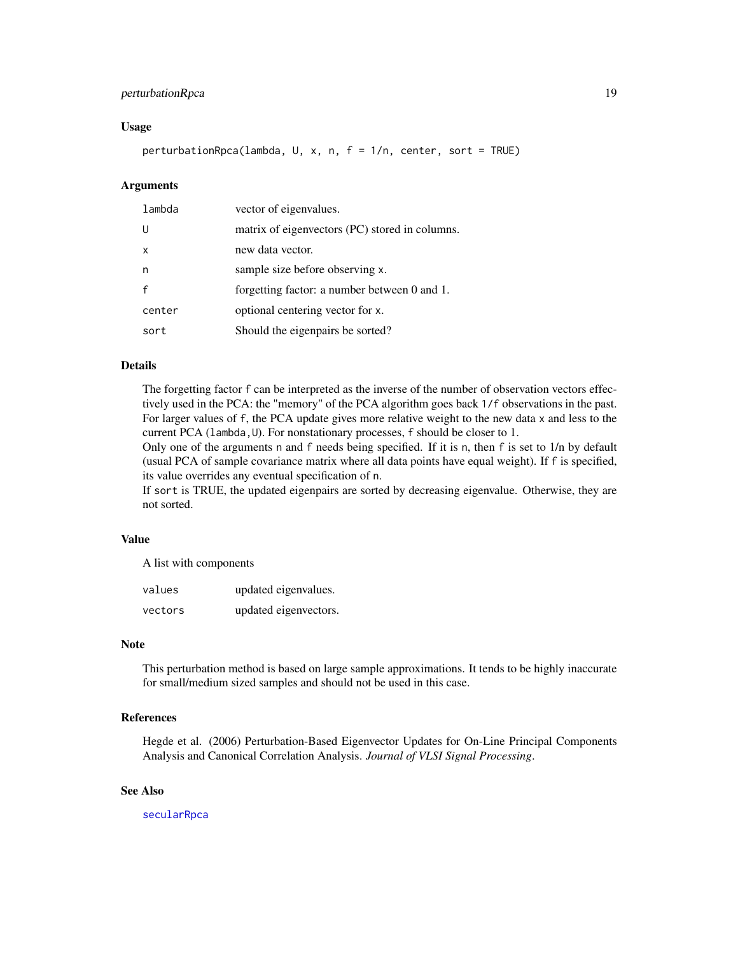#### <span id="page-18-0"></span>perturbationRpca 19

#### Usage

perturbationRpca(lambda, U, x, n, f = 1/n, center, sort = TRUE)

#### Arguments

| lambda | vector of eigenvalues.                         |
|--------|------------------------------------------------|
| IJ     | matrix of eigenvectors (PC) stored in columns. |
| X      | new data vector.                               |
| n      | sample size before observing x.                |
|        | forgetting factor: a number between 0 and 1.   |
| center | optional centering vector for x.               |
| sort   | Should the eigenpairs be sorted?               |

#### Details

The forgetting factor f can be interpreted as the inverse of the number of observation vectors effectively used in the PCA: the "memory" of the PCA algorithm goes back 1/f observations in the past. For larger values of f, the PCA update gives more relative weight to the new data x and less to the current PCA (lambda, U). For nonstationary processes, f should be closer to 1.

Only one of the arguments n and f needs being specified. If it is n, then f is set to  $1/n$  by default (usual PCA of sample covariance matrix where all data points have equal weight). If f is specified, its value overrides any eventual specification of n.

If sort is TRUE, the updated eigenpairs are sorted by decreasing eigenvalue. Otherwise, they are not sorted.

#### Value

A list with components

| values  | updated eigenvalues.  |
|---------|-----------------------|
| vectors | updated eigenvectors. |

#### Note

This perturbation method is based on large sample approximations. It tends to be highly inaccurate for small/medium sized samples and should not be used in this case.

#### References

Hegde et al. (2006) Perturbation-Based Eigenvector Updates for On-Line Principal Components Analysis and Canonical Correlation Analysis. *Journal of VLSI Signal Processing*.

#### See Also

[secularRpca](#page-19-1)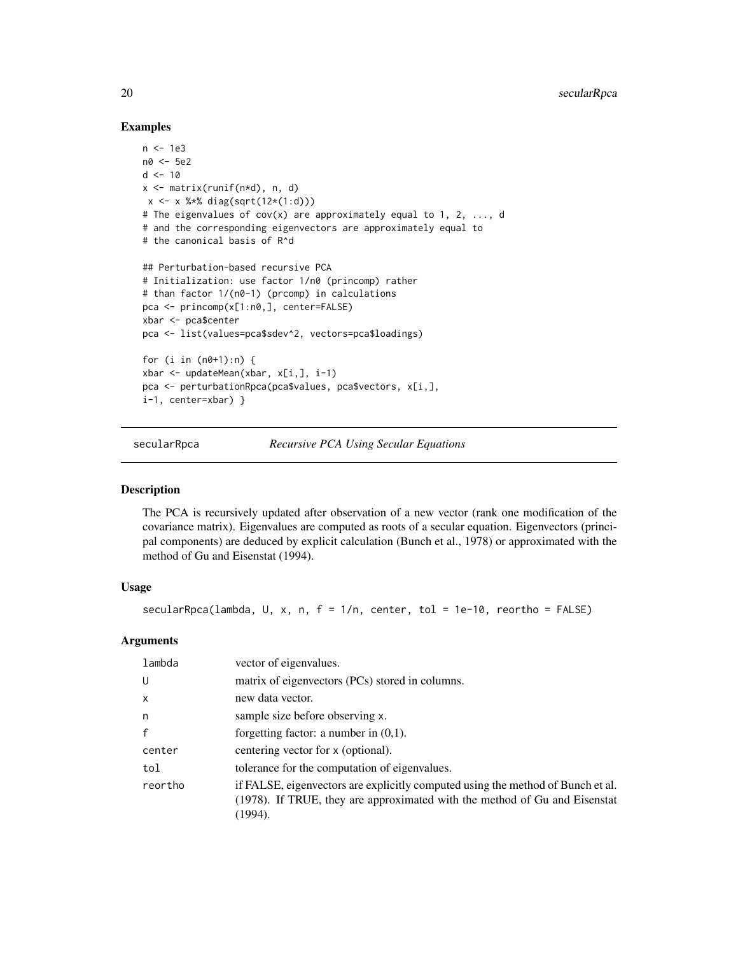#### Examples

```
n <- 1e3
n0 <- 5e2
d < -10x \le matrix(runif(n*d), n, d)
x \le - x %*% diag(sqrt(12*(1:d)))
# The eigenvalues of cov(x) are approximately equal to 1, 2, ..., d
# and the corresponding eigenvectors are approximately equal to
# the canonical basis of R^d
## Perturbation-based recursive PCA
# Initialization: use factor 1/n0 (princomp) rather
# than factor 1/(n0-1) (prcomp) in calculations
pca <- princomp(x[1:n0,], center=FALSE)
xbar <- pca$center
pca <- list(values=pca$sdev^2, vectors=pca$loadings)
for (i in (n\theta+1):n) {
xbar <- updateMean(xbar, x[i,], i-1)
pca <- perturbationRpca(pca$values, pca$vectors, x[i,],
i-1, center=xbar) }
```
<span id="page-19-1"></span>secularRpca *Recursive PCA Using Secular Equations*

#### Description

The PCA is recursively updated after observation of a new vector (rank one modification of the covariance matrix). Eigenvalues are computed as roots of a secular equation. Eigenvectors (principal components) are deduced by explicit calculation (Bunch et al., 1978) or approximated with the method of Gu and Eisenstat (1994).

#### Usage

secularRpca(lambda, U, x, n,  $f = 1/n$ , center, tol = 1e-10, reortho = FALSE)

#### Arguments

| lambda       | vector of eigenvalues.                                                                                                                                                   |
|--------------|--------------------------------------------------------------------------------------------------------------------------------------------------------------------------|
| U            | matrix of eigenvectors (PCs) stored in columns.                                                                                                                          |
| $\mathsf{x}$ | new data vector.                                                                                                                                                         |
| n            | sample size before observing x.                                                                                                                                          |
| $\mathbf{f}$ | forgetting factor: a number in $(0,1)$ .                                                                                                                                 |
| center       | centering vector for x (optional).                                                                                                                                       |
| tol          | tolerance for the computation of eigenvalues.                                                                                                                            |
| reortho      | if FALSE, eigenvectors are explicitly computed using the method of Bunch et al.<br>(1978). If TRUE, they are approximated with the method of Gu and Eisenstat<br>(1994). |

<span id="page-19-0"></span>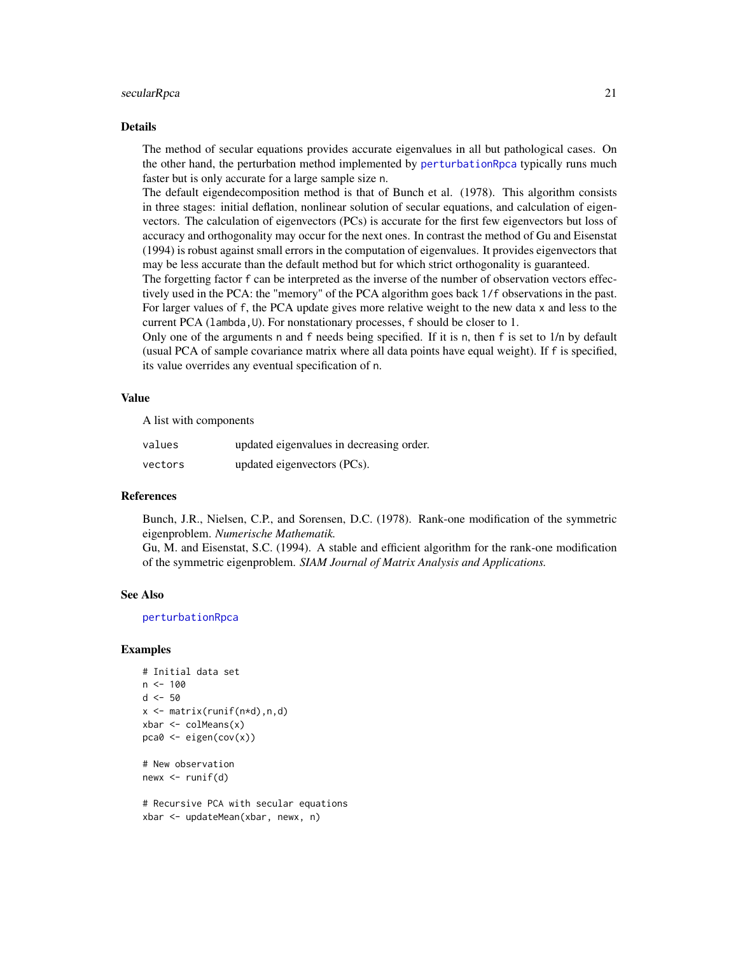#### <span id="page-20-0"></span>secularRpca 21

#### Details

The method of secular equations provides accurate eigenvalues in all but pathological cases. On the other hand, the perturbation method implemented by [perturbationRpca](#page-17-1) typically runs much faster but is only accurate for a large sample size n.

The default eigendecomposition method is that of Bunch et al. (1978). This algorithm consists in three stages: initial deflation, nonlinear solution of secular equations, and calculation of eigenvectors. The calculation of eigenvectors (PCs) is accurate for the first few eigenvectors but loss of accuracy and orthogonality may occur for the next ones. In contrast the method of Gu and Eisenstat (1994) is robust against small errors in the computation of eigenvalues. It provides eigenvectors that may be less accurate than the default method but for which strict orthogonality is guaranteed.

The forgetting factor f can be interpreted as the inverse of the number of observation vectors effectively used in the PCA: the "memory" of the PCA algorithm goes back 1/f observations in the past. For larger values of f, the PCA update gives more relative weight to the new data x and less to the current PCA (lambda, U). For nonstationary processes, f should be closer to 1.

Only one of the arguments n and f needs being specified. If it is n, then f is set to  $1/n$  by default (usual PCA of sample covariance matrix where all data points have equal weight). If f is specified, its value overrides any eventual specification of n.

#### Value

A list with components

| values  | updated eigenvalues in decreasing order. |
|---------|------------------------------------------|
| vectors | updated eigenvectors (PCs).              |

#### References

Bunch, J.R., Nielsen, C.P., and Sorensen, D.C. (1978). Rank-one modification of the symmetric eigenproblem. *Numerische Mathematik.*

Gu, M. and Eisenstat, S.C. (1994). A stable and efficient algorithm for the rank-one modification of the symmetric eigenproblem. *SIAM Journal of Matrix Analysis and Applications.*

#### See Also

[perturbationRpca](#page-17-1)

#### Examples

```
# Initial data set
n < - 100d < -50x \leftarrow \text{matrix}(\text{runif}(n \star d), n, d)xbar \leftarrow column(x)pca0 <- eigen(cov(x))
# New observation
```
 $newx \leftarrow runif(d)$ 

# Recursive PCA with secular equations xbar <- updateMean(xbar, newx, n)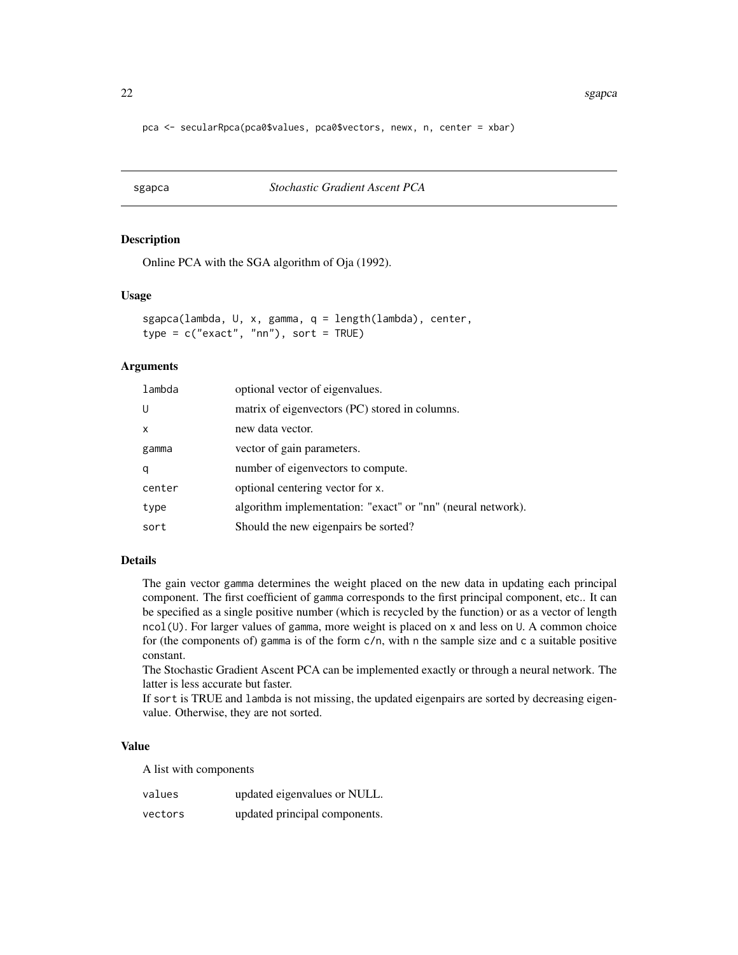<span id="page-21-0"></span>pca <- secularRpca(pca0\$values, pca0\$vectors, newx, n, center = xbar)

<span id="page-21-1"></span>sgapca *Stochastic Gradient Ascent PCA*

#### Description

Online PCA with the SGA algorithm of Oja (1992).

#### Usage

```
sgapca(lambda, U, x, gamma, q = length(lambda), center,
type = c("exact", "nn"), sort = TRUE)
```
#### Arguments

| lambda       | optional vector of eigenvalues.                             |
|--------------|-------------------------------------------------------------|
| U            | matrix of eigenvectors (PC) stored in columns.              |
| $\mathsf{x}$ | new data vector.                                            |
| gamma        | vector of gain parameters.                                  |
| q            | number of eigenvectors to compute.                          |
| center       | optional centering vector for x.                            |
| type         | algorithm implementation: "exact" or "nn" (neural network). |
| sort         | Should the new eigenpairs be sorted?                        |

#### Details

The gain vector gamma determines the weight placed on the new data in updating each principal component. The first coefficient of gamma corresponds to the first principal component, etc.. It can be specified as a single positive number (which is recycled by the function) or as a vector of length  $ncol(U)$ . For larger values of gamma, more weight is placed on x and less on U. A common choice for (the components of) gamma is of the form  $c/n$ , with n the sample size and c a suitable positive constant.

The Stochastic Gradient Ascent PCA can be implemented exactly or through a neural network. The latter is less accurate but faster.

If sort is TRUE and lambda is not missing, the updated eigenpairs are sorted by decreasing eigenvalue. Otherwise, they are not sorted.

#### Value

A list with components

| values  | updated eigenvalues or NULL.  |
|---------|-------------------------------|
| vectors | updated principal components. |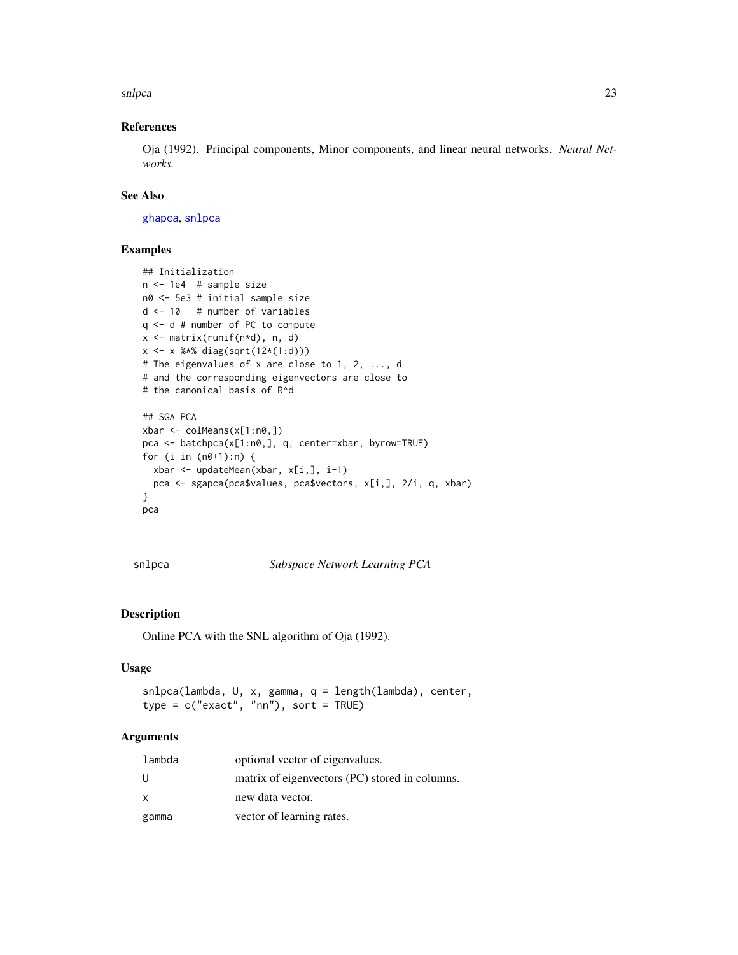<span id="page-22-0"></span>snlpca 23

#### References

Oja (1992). Principal components, Minor components, and linear neural networks. *Neural Networks.*

#### See Also

[ghapca](#page-9-1), [snlpca](#page-22-1)

#### Examples

```
## Initialization
n <- 1e4 # sample size
n0 <- 5e3 # initial sample size
d <- 10 # number of variables
q <- d # number of PC to compute
x <- matrix(runif(n*d), n, d)
x <- x %*% diag(sqrt(12*(1:d)))
# The eigenvalues of x are close to 1, 2, ..., d
# and the corresponding eigenvectors are close to
# the canonical basis of R^d
## SGA PCA
xbar <- colMeans(x[1:n0,])
pca <- batchpca(x[1:n0,], q, center=xbar, byrow=TRUE)
for (i in (n0+1):n) {
 xbar <- updateMean(xbar, x[i,], i-1)
  pca <- sgapca(pca$values, pca$vectors, x[i,], 2/i, q, xbar)
}
pca
```
<span id="page-22-1"></span>snlpca *Subspace Network Learning PCA*

#### Description

Online PCA with the SNL algorithm of Oja (1992).

#### Usage

```
snlpca(lambda, U, x, gamma, q = length(lambda), center,
type = c("exact", "nn"), sort = TRUE)
```
#### Arguments

| lambda | optional vector of eigenvalues.                |
|--------|------------------------------------------------|
| U      | matrix of eigenvectors (PC) stored in columns. |
| x      | new data vector.                               |
| gamma  | vector of learning rates.                      |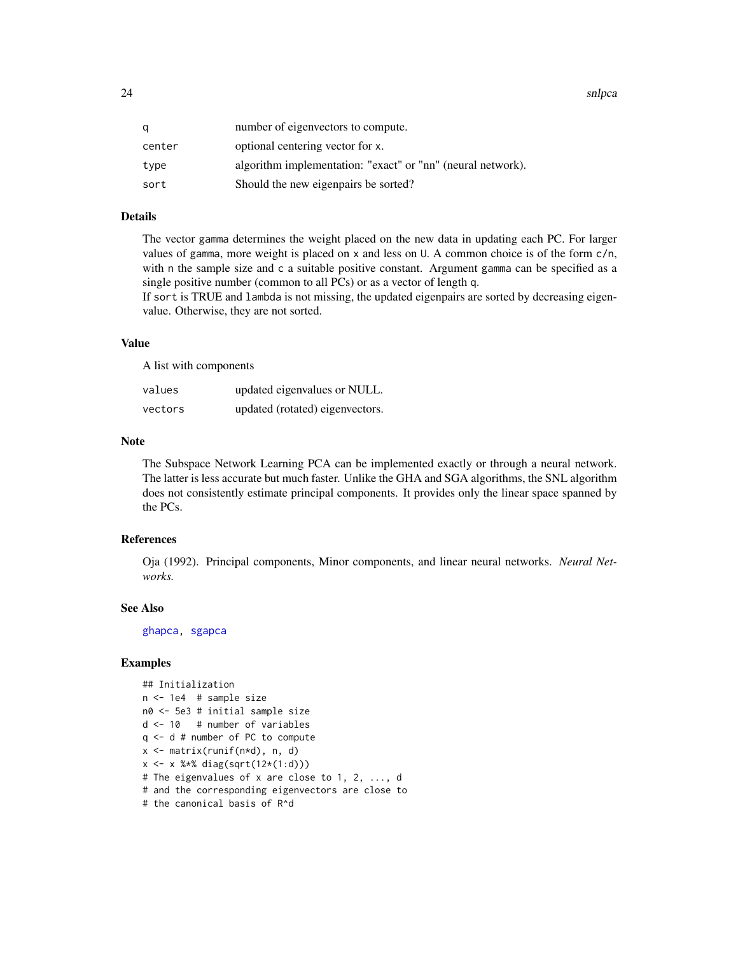<span id="page-23-0"></span>24 snlpca and the state of the state of the state of the state of the state of the state of the state of the state of the state of the state of the state of the state of the state of the state of the state of the state of

| q      | number of eigenvectors to compute.                          |
|--------|-------------------------------------------------------------|
| center | optional centering vector for x.                            |
| type   | algorithm implementation: "exact" or "nn" (neural network). |
| sort   | Should the new eigenpairs be sorted?                        |

#### Details

The vector gamma determines the weight placed on the new data in updating each PC. For larger values of gamma, more weight is placed on x and less on U. A common choice is of the form c/n, with n the sample size and c a suitable positive constant. Argument gamma can be specified as a single positive number (common to all PCs) or as a vector of length q.

If sort is TRUE and lambda is not missing, the updated eigenpairs are sorted by decreasing eigenvalue. Otherwise, they are not sorted.

#### Value

A list with components

| values  | updated eigenvalues or NULL.    |
|---------|---------------------------------|
| vectors | updated (rotated) eigenvectors. |

#### Note

The Subspace Network Learning PCA can be implemented exactly or through a neural network. The latter is less accurate but much faster. Unlike the GHA and SGA algorithms, the SNL algorithm does not consistently estimate principal components. It provides only the linear space spanned by the PCs.

#### References

Oja (1992). Principal components, Minor components, and linear neural networks. *Neural Networks.*

#### See Also

[ghapca,](#page-9-1) [sgapca](#page-21-1)

#### Examples

```
## Initialization
n <- 1e4 # sample size
n0 <- 5e3 # initial sample size
d <- 10 # number of variables
q <- d # number of PC to compute
x <- matrix(runif(n*d), n, d)
x <- x %*% diag(sqrt(12*(1:d)))
# The eigenvalues of x are close to 1, 2, ..., d
# and the corresponding eigenvectors are close to
# the canonical basis of R^d
```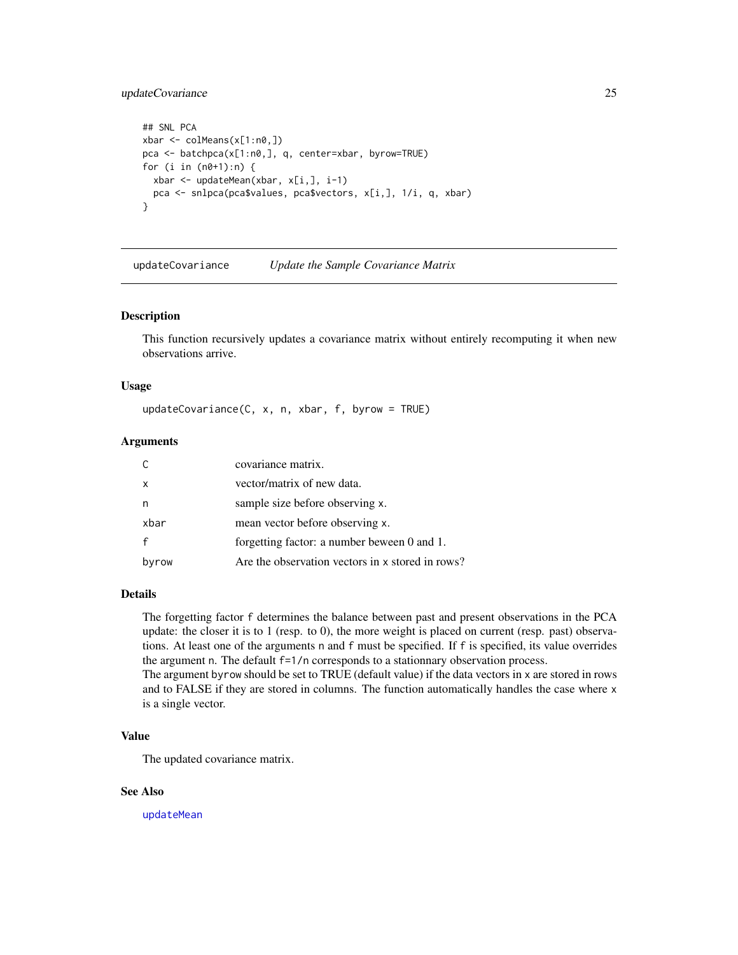#### <span id="page-24-0"></span>updateCovariance 25

```
## SNL PCA
xbar <- colMeans(x[1:n0,])
pca <- batchpca(x[1:n0,], q, center=xbar, byrow=TRUE)
for (i in (n0+1):n) {
 xbar <- updateMean(xbar, x[i,], i-1)
  pca <- snlpca(pca$values, pca$vectors, x[i,], 1/i, q, xbar)
}
```
<span id="page-24-1"></span>updateCovariance *Update the Sample Covariance Matrix*

#### Description

This function recursively updates a covariance matrix without entirely recomputing it when new observations arrive.

#### Usage

updateCovariance(C, x, n, xbar, f, byrow = TRUE)

#### Arguments

|       | covariance matrix.                               |
|-------|--------------------------------------------------|
| X     | vector/matrix of new data.                       |
|       | sample size before observing x.                  |
| xbar  | mean vector before observing x.                  |
|       | forgetting factor: a number beween 0 and 1.      |
| byrow | Are the observation vectors in x stored in rows? |

#### Details

The forgetting factor f determines the balance between past and present observations in the PCA update: the closer it is to 1 (resp. to 0), the more weight is placed on current (resp. past) observations. At least one of the arguments n and f must be specified. If f is specified, its value overrides the argument n. The default f=1/n corresponds to a stationnary observation process.

The argument byrow should be set to TRUE (default value) if the data vectors in x are stored in rows and to FALSE if they are stored in columns. The function automatically handles the case where x is a single vector.

#### Value

The updated covariance matrix.

#### See Also

[updateMean](#page-25-1)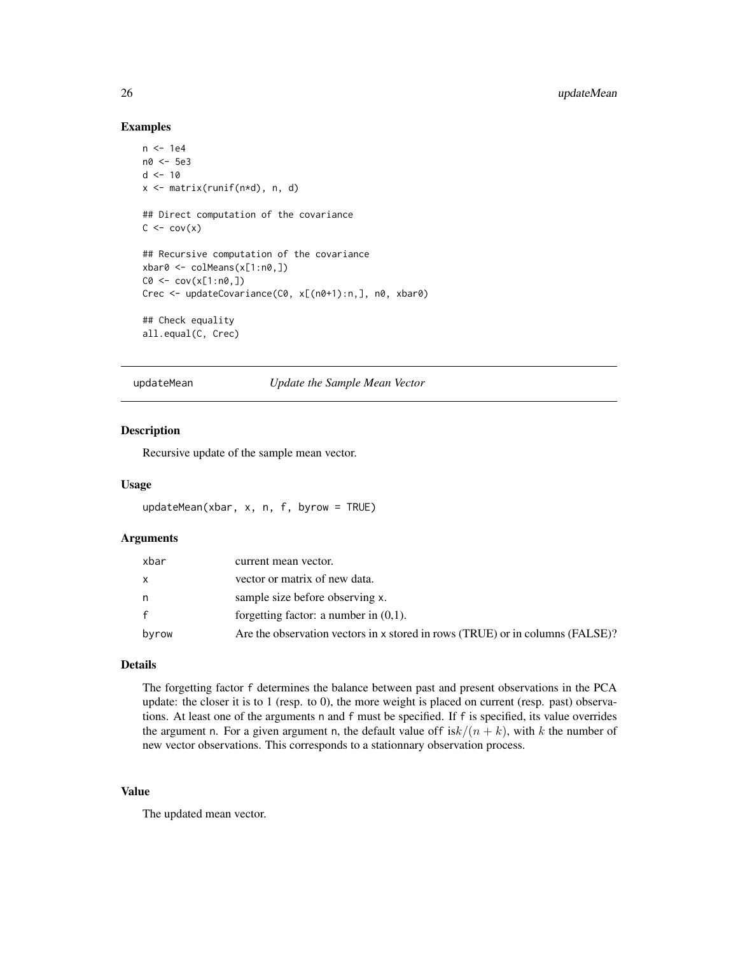#### Examples

```
n <- 1e4
n0 <- 5e3
d < -10x <- matrix(runif(n*d), n, d)
## Direct computation of the covariance
C \leq -\text{cov}(x)## Recursive computation of the covariance
xbar0 <- colMeans(x[1:n0,])
CO < -cov(x[1:n0,])Crec <- updateCovariance(C0, x[(n0+1):n,], n0, xbar0)
## Check equality
all.equal(C, Crec)
```
<span id="page-25-1"></span>updateMean *Update the Sample Mean Vector*

#### Description

Recursive update of the sample mean vector.

#### Usage

```
updateMean(xbar, x, n, f, byrow = TRUE)
```
#### Arguments

| xbar  | current mean vector.                                                          |
|-------|-------------------------------------------------------------------------------|
| x.    | vector or matrix of new data.                                                 |
| n     | sample size before observing x.                                               |
| f.    | forgetting factor: a number in $(0,1)$ .                                      |
| byrow | Are the observation vectors in x stored in rows (TRUE) or in columns (FALSE)? |

#### Details

The forgetting factor f determines the balance between past and present observations in the PCA update: the closer it is to 1 (resp. to 0), the more weight is placed on current (resp. past) observations. At least one of the arguments n and f must be specified. If f is specified, its value overrides the argument n. For a given argument n, the default value of  $f$  isk $/(n + k)$ , with k the number of new vector observations. This corresponds to a stationnary observation process.

#### Value

The updated mean vector.

<span id="page-25-0"></span>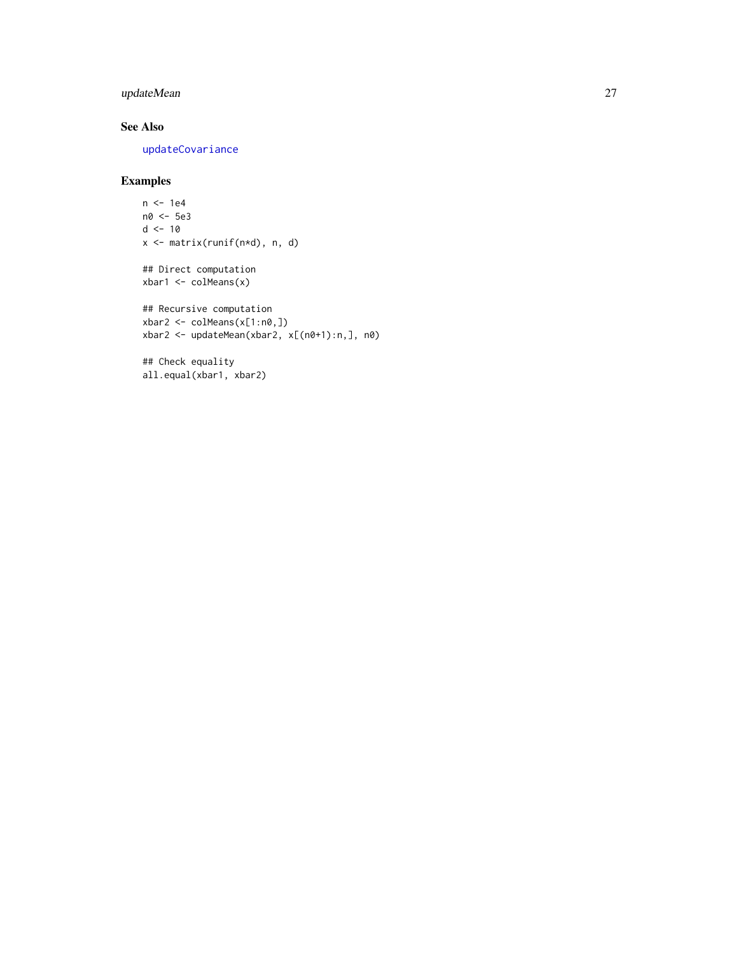### <span id="page-26-0"></span>updateMean 27

#### See Also

[updateCovariance](#page-24-1)

#### Examples

```
n <- 1e4
n0 <- 5e3
d < -10x <- matrix(runif(n*d), n, d)
## Direct computation
xbar1 <- colMeans(x)
## Recursive computation
xbar2 <- colMeans(x[1:n0,])
xbar2 <- updateMean(xbar2, x[(n0+1):n,], n0)
```

```
## Check equality
all.equal(xbar1, xbar2)
```